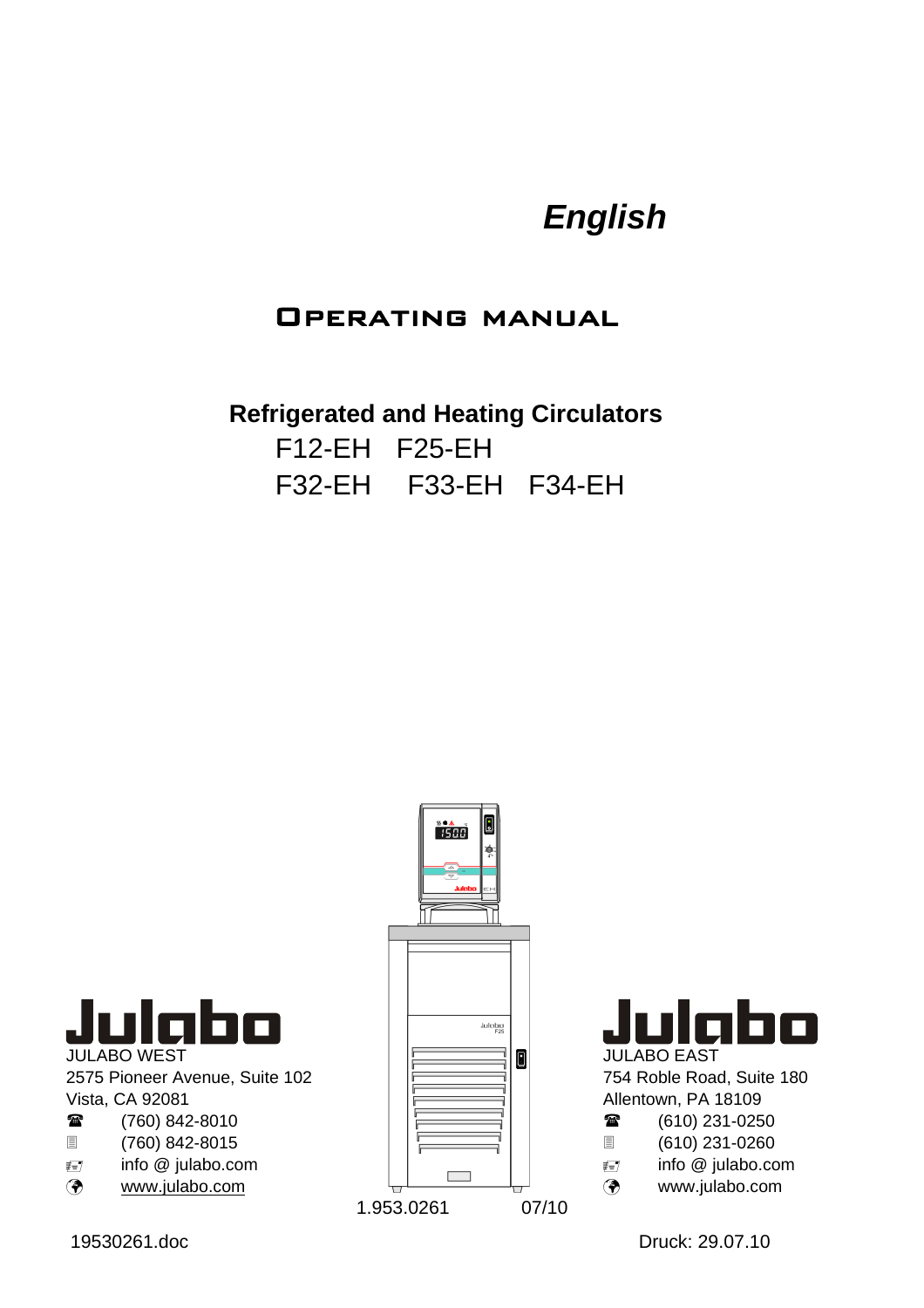# *English*

## Operating manual

**Refrigerated and Heating Circulators**  F12-EH F25-EH F32-EH F33-EH F34-EH



JULABO WEST 2575 Pioneer Avenue, Suite 102 Vista, CA 92081  $(760)$  848-8010

| ₩                | (760) 842-8010    |
|------------------|-------------------|
| 圁                | (760) 842-8015    |
| $\not\equiv = /$ | info @ julabo.com |
| $\sim$           |                   |

Þ www.julabo.com





754 Roble Road, Suite 180 Allentown, PA 18109

| 雷 | $(610)$ 231-0250 |
|---|------------------|
|---|------------------|

| 冒   | (610) 231-0260    |
|-----|-------------------|
| ≢≡7 | info @ julabo.com |
| ◈   | www.julabo.com    |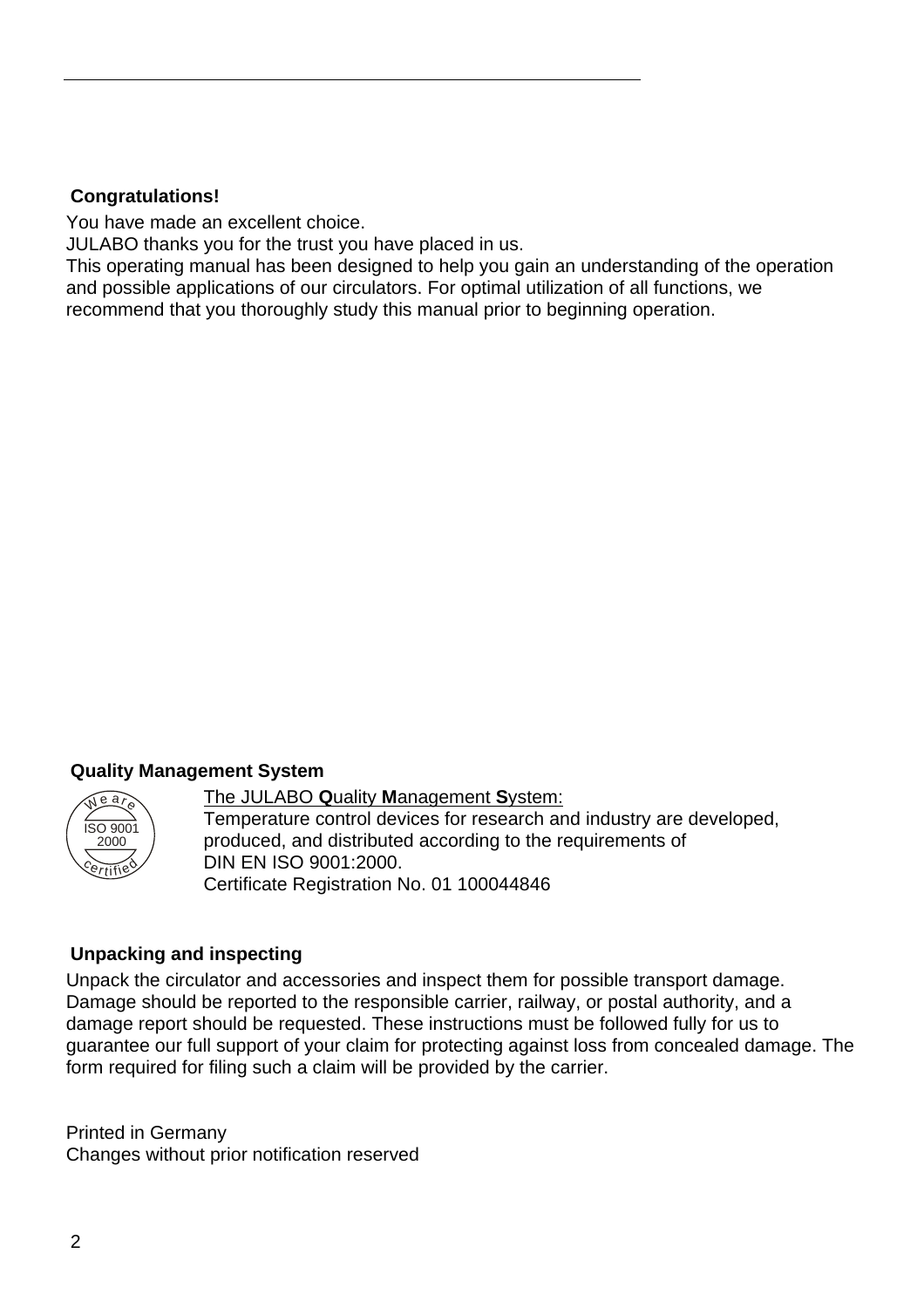#### **Congratulations!**

You have made an excellent choice.

JULABO thanks you for the trust you have placed in us.

This operating manual has been designed to help you gain an understanding of the operation and possible applications of our circulators. For optimal utilization of all functions, we recommend that you thoroughly study this manual prior to beginning operation.

#### **Quality Management System**



The JULABO **Q**uality **M**anagement **S**ystem: Temperature control devices for research and industry are developed, produced, and distributed according to the requirements of DIN EN ISO 9001:2000. Certificate Registration No. 01 100044846

#### **Unpacking and inspecting**

Unpack the circulator and accessories and inspect them for possible transport damage. Damage should be reported to the responsible carrier, railway, or postal authority, and a damage report should be requested. These instructions must be followed fully for us to guarantee our full support of your claim for protecting against loss from concealed damage. The form required for filing such a claim will be provided by the carrier.

Printed in Germany Changes without prior notification reserved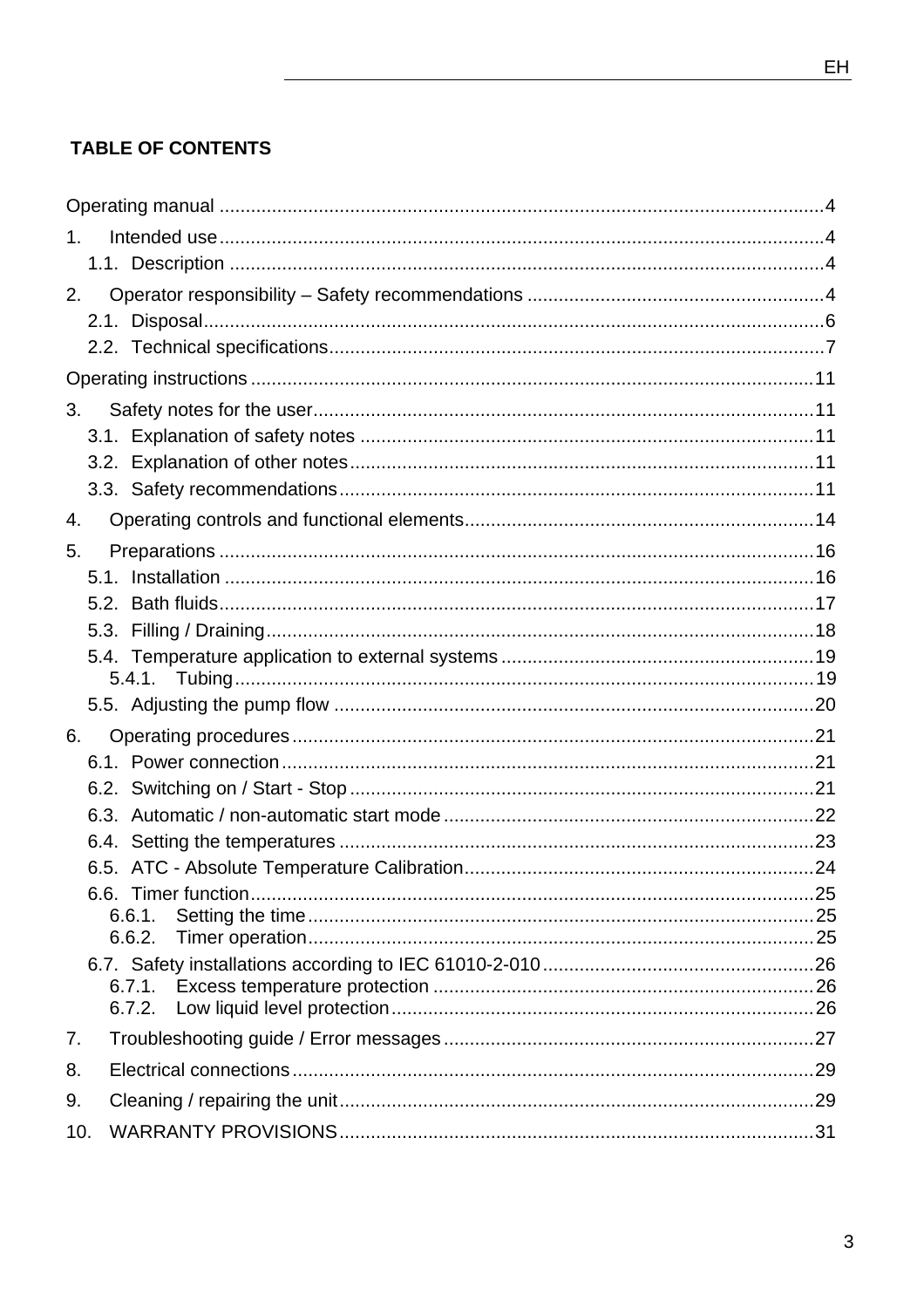## **TABLE OF CONTENTS**

| 1 <sub>1</sub> |  |
|----------------|--|
|                |  |
| 2.             |  |
|                |  |
|                |  |
|                |  |
| 3.             |  |
|                |  |
|                |  |
|                |  |
| 4.             |  |
| 5.             |  |
|                |  |
|                |  |
|                |  |
|                |  |
|                |  |
|                |  |
| 6.             |  |
|                |  |
|                |  |
|                |  |
|                |  |
|                |  |
| 6.6.1.         |  |
| 6.6.2.         |  |
|                |  |
| 6.7.1.         |  |
| 6.7.2.         |  |
| 7.             |  |
| 8.             |  |
| 9.             |  |
| 10.            |  |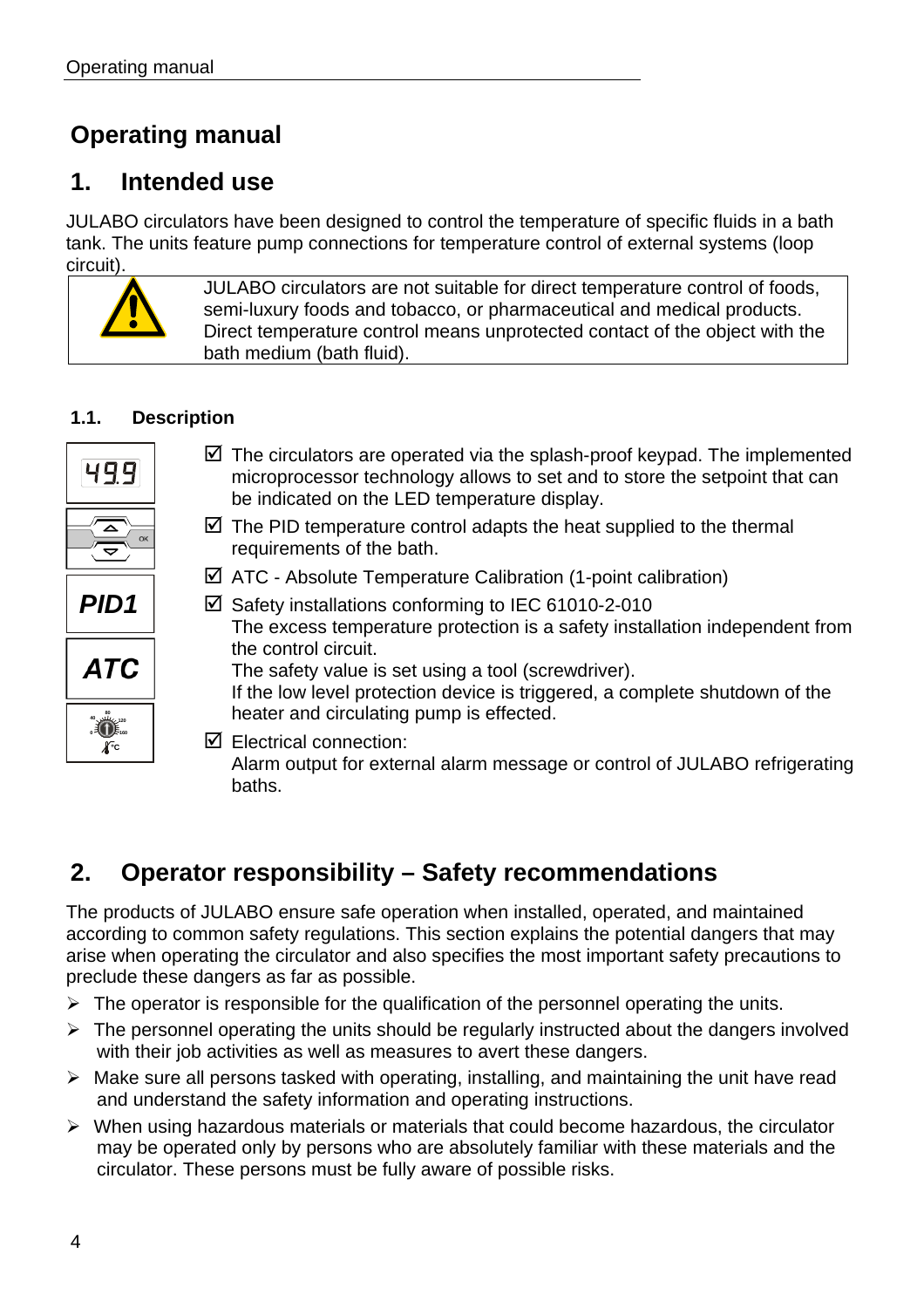## **Operating manual**

## **1. Intended use**

JULABO circulators have been designed to control the temperature of specific fluids in a bath tank. The units feature pump connections for temperature control of external systems (loop circuit).

> JULABO circulators are not suitable for direct temperature control of foods, semi-luxury foods and tobacco, or pharmaceutical and medical products. Direct temperature control means unprotected contact of the object with the bath medium (bath fluid).

### **1.1. Description**

| 4991                      | $\boxtimes$ The circulators are operated via the splash-proof keypad. The implemented<br>microprocessor technology allows to set and to store the setpoint that can<br>be indicated on the LED temperature display. |
|---------------------------|---------------------------------------------------------------------------------------------------------------------------------------------------------------------------------------------------------------------|
| △<br>$\blacktriangledown$ | $\boxtimes$ The PID temperature control adapts the heat supplied to the thermal<br>requirements of the bath.                                                                                                        |
|                           | $\boxtimes$ ATC - Absolute Temperature Calibration (1-point calibration)                                                                                                                                            |
| <b>PID1</b>               | $\boxtimes$ Safety installations conforming to IEC 61010-2-010<br>The excess temperature protection is a safety installation independent from                                                                       |
| ATC                       | the control circuit.<br>The safety value is set using a tool (screwdriver).<br>If the low level protection device is triggered, a complete shutdown of the                                                          |
| ü.                        | heater and circulating pump is effected.                                                                                                                                                                            |
| $\overline{A}$ c          | $\boxtimes$ Electrical connection:<br>Alarm output for external alarm message or control of JULABO refrigerating<br>baths.                                                                                          |

## **2. Operator responsibility – Safety recommendations**

The products of JULABO ensure safe operation when installed, operated, and maintained according to common safety regulations. This section explains the potential dangers that may arise when operating the circulator and also specifies the most important safety precautions to preclude these dangers as far as possible.

- $\triangleright$  The operator is responsible for the qualification of the personnel operating the units.
- $\triangleright$  The personnel operating the units should be regularly instructed about the dangers involved with their job activities as well as measures to avert these dangers.
- $\triangleright$  Make sure all persons tasked with operating, installing, and maintaining the unit have read and understand the safety information and operating instructions.
- $\triangleright$  When using hazardous materials or materials that could become hazardous, the circulator may be operated only by persons who are absolutely familiar with these materials and the circulator. These persons must be fully aware of possible risks.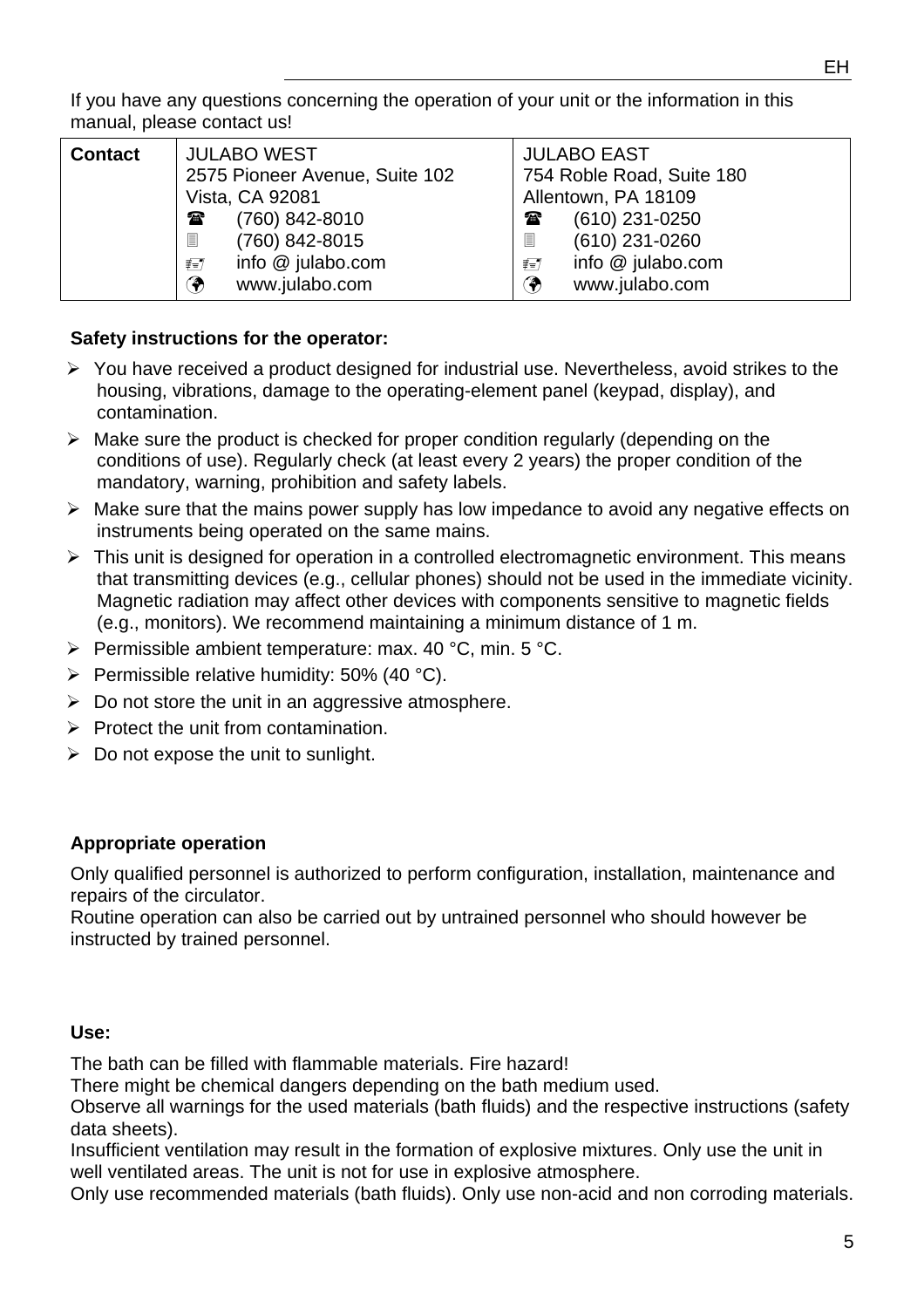| <b>Contact</b> | <b>JULABO WEST</b><br>2575 Pioneer Avenue, Suite 102<br>Vista, CA 92081                                                                                 | <b>JULABO EAST</b><br>754 Roble Road, Suite 180<br>Allentown, PA 18109                                                                      |
|----------------|---------------------------------------------------------------------------------------------------------------------------------------------------------|---------------------------------------------------------------------------------------------------------------------------------------------|
|                | (760) 842-8010<br>$\mathbf{r}$<br>$\boxed{\phantom{1}}$<br>(760) 842-8015<br>info @ julabo.com<br>$\not\equiv \equiv \not\equiv$<br>Ϡ<br>www.julabo.com | $(610)$ 231-0250<br>$\mathbf{a}$<br>圁<br>$(610)$ 231-0260<br>info @ julabo.com<br>$\not\equiv \not\equiv \not\equiv$<br>◈<br>www.julabo.com |

### **Safety instructions for the operator:**

- $\triangleright$  You have received a product designed for industrial use. Nevertheless, avoid strikes to the housing, vibrations, damage to the operating-element panel (keypad, display), and contamination.
- $\triangleright$  Make sure the product is checked for proper condition regularly (depending on the conditions of use). Regularly check (at least every 2 years) the proper condition of the mandatory, warning, prohibition and safety labels.
- ¾ Make sure that the mains power supply has low impedance to avoid any negative effects on instruments being operated on the same mains.
- $\triangleright$  This unit is designed for operation in a controlled electromagnetic environment. This means that transmitting devices (e.g., cellular phones) should not be used in the immediate vicinity. Magnetic radiation may affect other devices with components sensitive to magnetic fields (e.g., monitors). We recommend maintaining a minimum distance of 1 m.
- $\triangleright$  Permissible ambient temperature: max. 40 °C, min. 5 °C.
- $\triangleright$  Permissible relative humidity: 50% (40 °C).
- $\triangleright$  Do not store the unit in an aggressive atmosphere.
- $\triangleright$  Protect the unit from contamination.
- $\triangleright$  Do not expose the unit to sunlight.

#### **Appropriate operation**

Only qualified personnel is authorized to perform configuration, installation, maintenance and repairs of the circulator.

Routine operation can also be carried out by untrained personnel who should however be instructed by trained personnel.

#### **Use:**

The bath can be filled with flammable materials. Fire hazard!

There might be chemical dangers depending on the bath medium used.

Observe all warnings for the used materials (bath fluids) and the respective instructions (safety data sheets).

Insufficient ventilation may result in the formation of explosive mixtures. Only use the unit in well ventilated areas. The unit is not for use in explosive atmosphere.

Only use recommended materials (bath fluids). Only use non-acid and non corroding materials.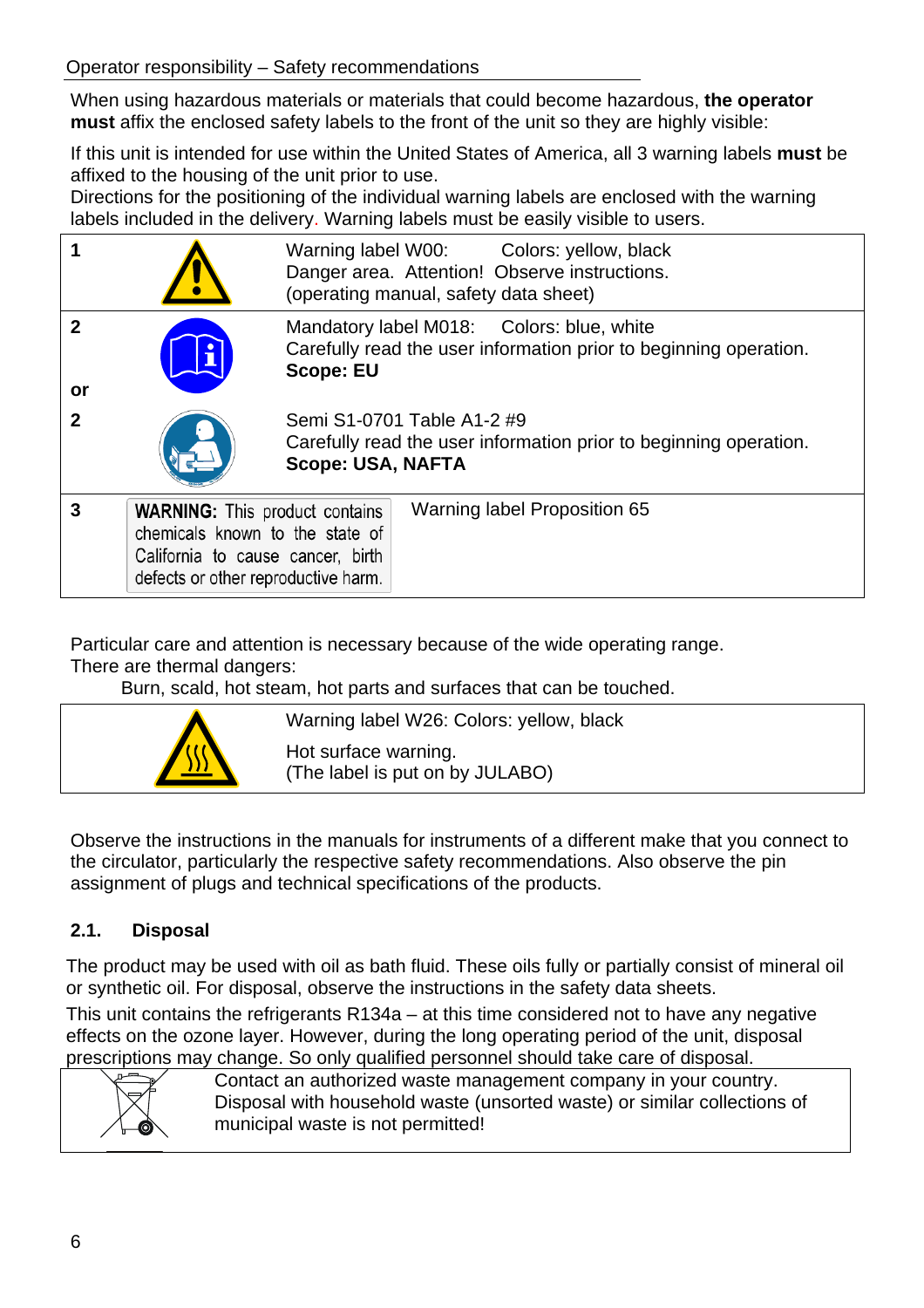When using hazardous materials or materials that could become hazardous, **the operator must** affix the enclosed safety labels to the front of the unit so they are highly visible:

If this unit is intended for use within the United States of America, all 3 warning labels **must** be affixed to the housing of the unit prior to use.

Directions for the positioning of the individual warning labels are enclosed with the warning labels included in the delivery. Warning labels must be easily visible to users.

|                            |                                                                                                                                                      | Warning label W00: Colors: yellow, black<br>Danger area. Attention! Observe instructions.<br>(operating manual, safety data sheet) |
|----------------------------|------------------------------------------------------------------------------------------------------------------------------------------------------|------------------------------------------------------------------------------------------------------------------------------------|
| $\boldsymbol{\mathcal{P}}$ |                                                                                                                                                      | Mandatory label M018: Colors: blue, white<br>Carefully read the user information prior to beginning operation.<br><b>Scope: EU</b> |
| or<br>$\mathbf 2$          |                                                                                                                                                      | Semi S1-0701 Table A1-2 #9                                                                                                         |
|                            |                                                                                                                                                      | Carefully read the user information prior to beginning operation.<br><b>Scope: USA, NAFTA</b>                                      |
| 3                          | <b>WARNING:</b> This product contains<br>chemicals known to the state of<br>California to cause cancer, birth<br>defects or other reproductive harm. | Warning label Proposition 65                                                                                                       |

Particular care and attention is necessary because of the wide operating range.

There are thermal dangers:

Burn, scald, hot steam, hot parts and surfaces that can be touched.



Warning label W26: Colors: yellow, black

Hot surface warning. (The label is put on by JULABO)

Observe the instructions in the manuals for instruments of a different make that you connect to the circulator, particularly the respective safety recommendations. Also observe the pin assignment of plugs and technical specifications of the products.

## **2.1. Disposal**

The product may be used with oil as bath fluid. These oils fully or partially consist of mineral oil or synthetic oil. For disposal, observe the instructions in the safety data sheets.

This unit contains the refrigerants R134a – at this time considered not to have any negative effects on the ozone layer. However, during the long operating period of the unit, disposal prescriptions may change. So only qualified personnel should take care of disposal.



Contact an authorized waste management company in your country. Disposal with household waste (unsorted waste) or similar collections of municipal waste is not permitted!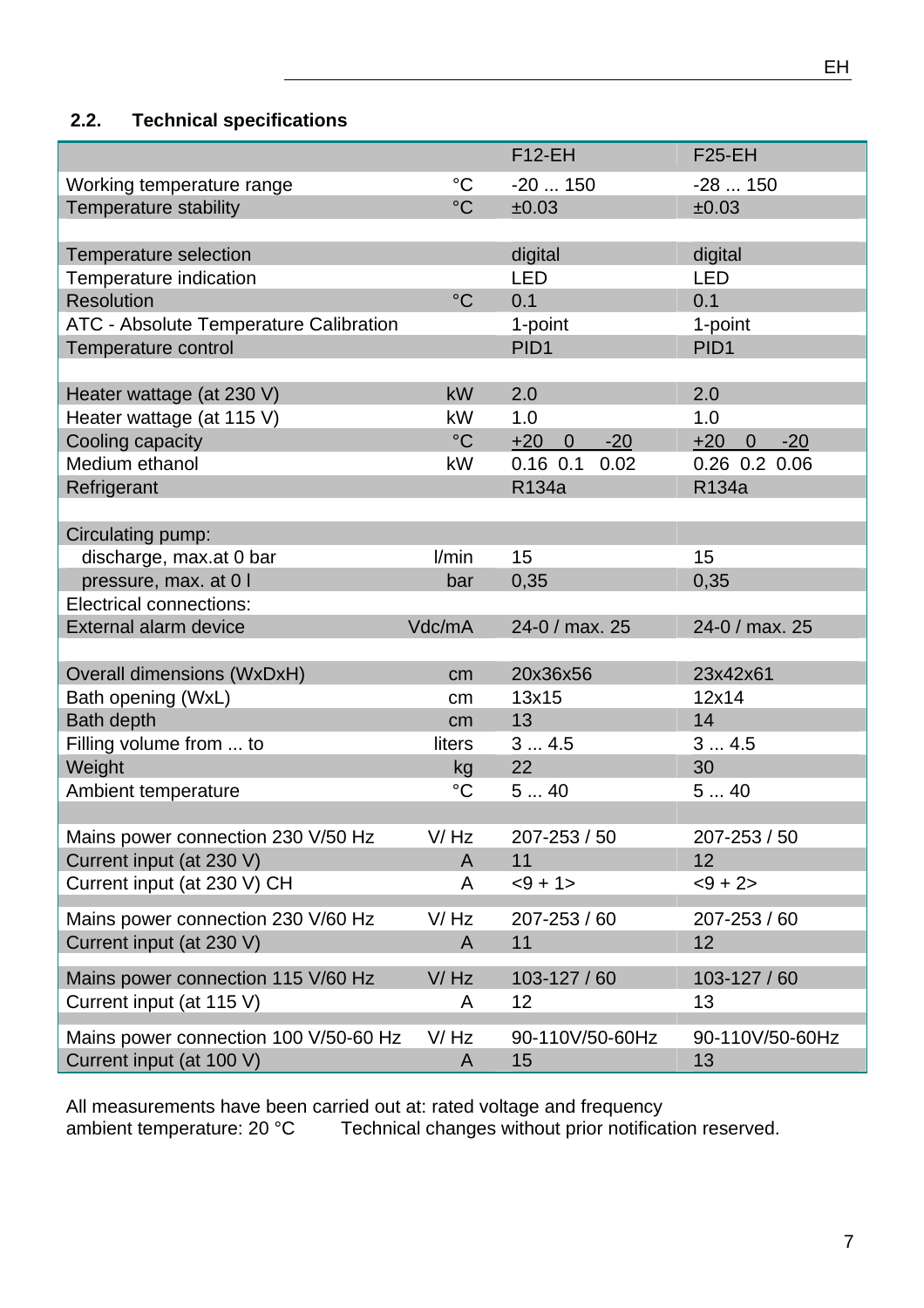## **2.2. Technical specifications**

|                                        |                 | $F12-EH$                         | $F25-EH$                         |
|----------------------------------------|-----------------|----------------------------------|----------------------------------|
| Working temperature range              | $\rm ^{\circ}C$ | $-20150$                         | $-28150$                         |
| Temperature stability                  | $\rm ^{\circ}C$ | ±0.03                            | ±0.03                            |
|                                        |                 |                                  |                                  |
| Temperature selection                  |                 | digital                          | digital                          |
| Temperature indication                 |                 | <b>LED</b>                       | <b>LED</b>                       |
| <b>Resolution</b>                      | $^{\circ}C$     | 0.1                              | 0.1                              |
| ATC - Absolute Temperature Calibration |                 | 1-point                          | 1-point                          |
| Temperature control                    |                 | PID <sub>1</sub>                 | PID <sub>1</sub>                 |
|                                        |                 |                                  |                                  |
| Heater wattage (at 230 V)              | kW              | 2.0                              | 2.0                              |
| Heater wattage (at 115 V)              | kW              | 1.0                              | 1.0                              |
| Cooling capacity                       | $\rm ^{\circ}C$ | $-20$<br>$+20$<br>$\overline{0}$ | $-20$<br>$+20$<br>$\overline{0}$ |
| Medium ethanol                         | kW              | $0.16$ 0.1<br>0.02               | 0.26 0.2 0.06                    |
| Refrigerant                            |                 | R134a                            | R134a                            |
|                                        |                 |                                  |                                  |
| Circulating pump:                      |                 |                                  |                                  |
| discharge, max.at 0 bar                | l/min           | 15                               | 15                               |
| pressure, max. at 0 I                  | bar             | 0,35                             | 0,35                             |
| <b>Electrical connections:</b>         |                 |                                  |                                  |
| External alarm device                  | Vdc/mA          | 24-0 / max. 25                   | 24-0 / max. 25                   |
|                                        |                 |                                  |                                  |
| <b>Overall dimensions (WxDxH)</b>      | cm              | 20x36x56                         | 23x42x61                         |
| Bath opening (WxL)                     | cm              | 13x15                            | 12x14                            |
| <b>Bath depth</b>                      | cm <sub>2</sub> | 13                               | 14                               |
| Filling volume from  to                | liters          | 34.5                             | 34.5                             |
| Weight                                 | kg              | 22                               | 30                               |
| Ambient temperature                    | $\rm ^{\circ}C$ | 540                              | 540                              |
|                                        |                 |                                  |                                  |
| Mains power connection 230 V/50 Hz     | V/Hz            | 207-253 / 50                     | 207-253 / 50                     |
| Current input (at 230 V)               | A               | 11                               | 12                               |
| Current input (at 230 V) CH            | A               | $<9 + 1>$                        | $<9 + 2>$                        |
| Mains power connection 230 V/60 Hz     | V/Hz            | 207-253 / 60                     | 207-253 / 60                     |
| Current input (at 230 V)               | A               | 11                               | 12                               |
|                                        |                 |                                  |                                  |
| Mains power connection 115 V/60 Hz     | V/Hz            | 103-127 / 60                     | 103-127 / 60                     |
| Current input (at 115 V)               | A               | 12                               | 13                               |
| Mains power connection 100 V/50-60 Hz  | V/Hz            | 90-110V/50-60Hz                  | 90-110V/50-60Hz                  |
| Current input (at 100 V)               | A               | 15                               | 13                               |

All measurements have been carried out at: rated voltage and frequency ambient temperature: 20 °C Technical changes without prior notification reserved.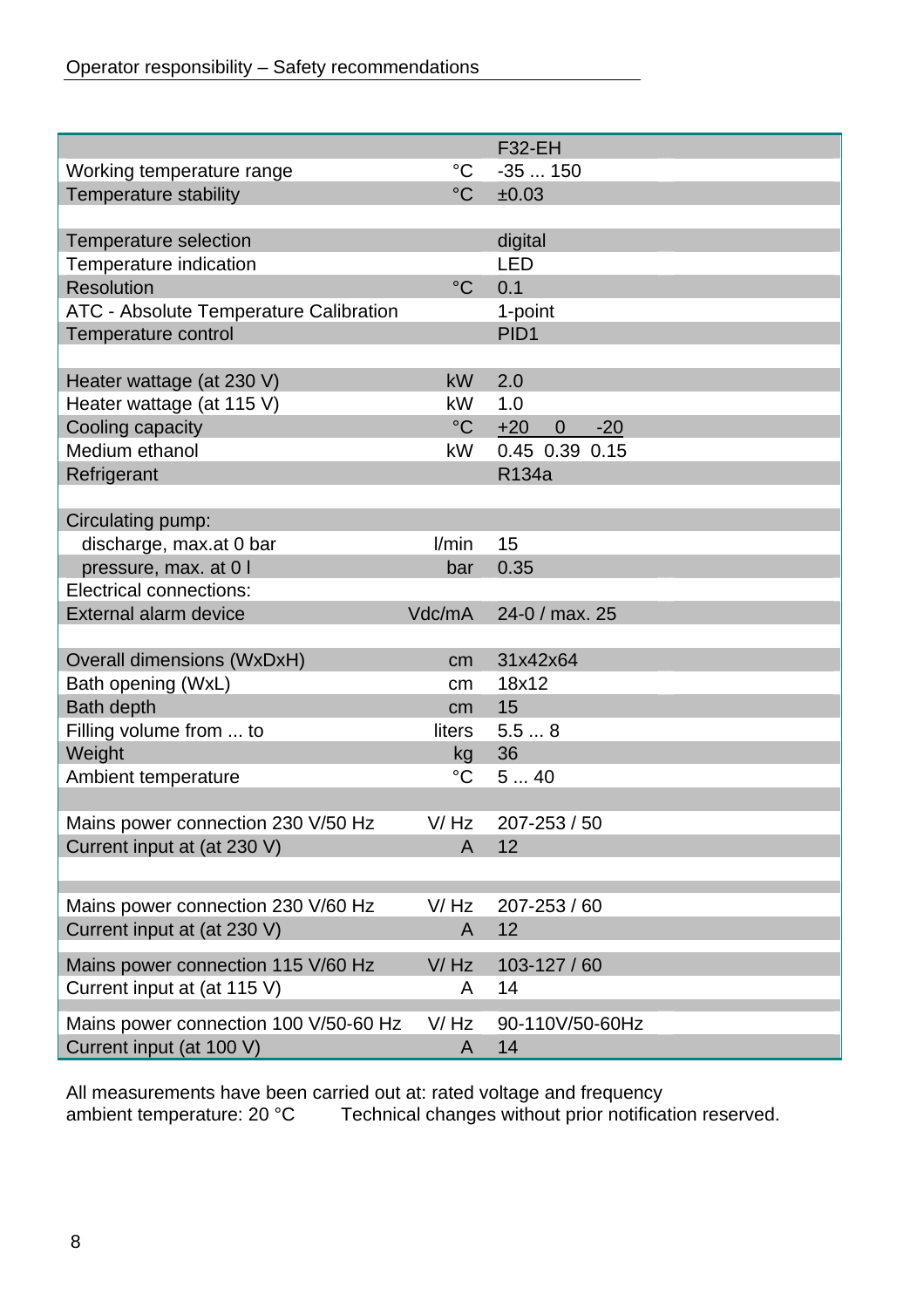|                                        |                 | <b>F32-EH</b>                    |  |
|----------------------------------------|-----------------|----------------------------------|--|
| Working temperature range              | $\rm ^{\circ}C$ | $-35150$                         |  |
| Temperature stability                  | $\rm ^{\circ}C$ | ±0.03                            |  |
|                                        |                 |                                  |  |
| Temperature selection                  |                 | digital                          |  |
| Temperature indication                 |                 | <b>LED</b>                       |  |
| <b>Resolution</b>                      | $\rm ^{\circ}C$ | 0.1                              |  |
| ATC - Absolute Temperature Calibration |                 | 1-point                          |  |
| Temperature control                    |                 | PID <sub>1</sub>                 |  |
|                                        |                 |                                  |  |
| Heater wattage (at 230 V)              | <b>kW</b>       | 2.0                              |  |
| Heater wattage (at 115 V)              | kW              | 1.0                              |  |
| Cooling capacity                       | $\rm ^{\circ}C$ | $+20$<br>$\overline{0}$<br>$-20$ |  |
| Medium ethanol                         | kW              | 0.45 0.39 0.15                   |  |
| Refrigerant                            |                 | R134a                            |  |
|                                        |                 |                                  |  |
| Circulating pump:                      |                 |                                  |  |
| discharge, max.at 0 bar                | l/min           | 15                               |  |
| pressure, max. at 0 I                  | bar             | 0.35                             |  |
| <b>Electrical connections:</b>         |                 |                                  |  |
| External alarm device                  | Vdc/mA          | 24-0 / max. 25                   |  |
|                                        |                 |                                  |  |
| Overall dimensions (WxDxH)             | cm              | 31x42x64                         |  |
| Bath opening (WxL)                     | cm              | 18x12                            |  |
| <b>Bath depth</b>                      | cm              | 15                               |  |
| Filling volume from  to                | liters          | 5.58                             |  |
| Weight                                 | kg              | 36                               |  |
| Ambient temperature                    | $\rm ^{\circ}C$ | 540                              |  |
|                                        |                 |                                  |  |
| Mains power connection 230 V/50 Hz     | V/Hz            | $207 - 253 / 50$                 |  |
| Current input at (at 230 V)            | $\mathsf{A}$    | 12                               |  |
|                                        |                 |                                  |  |
| Mains power connection 230 V/60 Hz     | V/Hz            | 207-253 / 60                     |  |
| Current input at (at 230 V)            | A               | 12                               |  |
|                                        |                 |                                  |  |
| Mains power connection 115 V/60 Hz     | V/Hz            | 103-127 / 60                     |  |
| Current input at (at 115 V)            | A               | 14                               |  |
| Mains power connection 100 V/50-60 Hz  | V/Hz            | 90-110V/50-60Hz                  |  |
| Current input (at 100 V)               | A               | 14                               |  |
|                                        |                 |                                  |  |

All measurements have been carried out at: rated voltage and frequency ambient temperature: 20 °C Technical changes without prior notification reserved.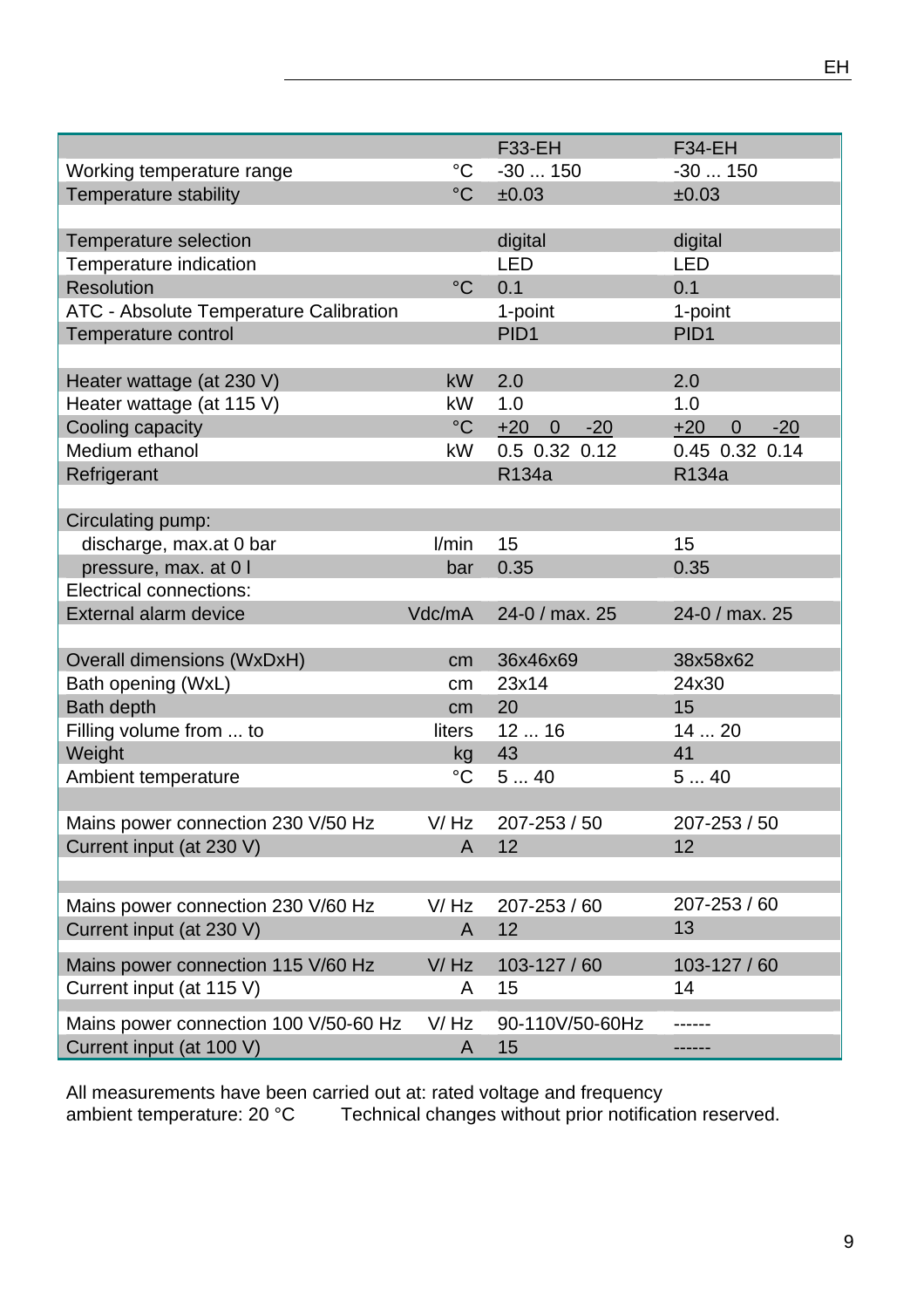|                                                                   |                      | <b>F33-EH</b>                    | <b>F34-EH</b>                    |
|-------------------------------------------------------------------|----------------------|----------------------------------|----------------------------------|
| Working temperature range                                         | $^{\circ}C$          | $-30150$                         | $-30150$                         |
| Temperature stability                                             | $\rm ^{\circ}C$      | ±0.03                            | ±0.03                            |
|                                                                   |                      |                                  |                                  |
| Temperature selection                                             |                      | digital                          | digital                          |
| Temperature indication                                            |                      | <b>LED</b>                       | <b>LED</b>                       |
| <b>Resolution</b>                                                 | $\rm ^{\circ}C$      | 0.1                              | 0.1                              |
| ATC - Absolute Temperature Calibration                            |                      | 1-point                          | 1-point                          |
| Temperature control                                               |                      | PID <sub>1</sub>                 | PID <sub>1</sub>                 |
|                                                                   |                      |                                  |                                  |
| Heater wattage (at 230 V)                                         | <b>kW</b>            | 2.0                              | 2.0                              |
| Heater wattage (at 115 V)                                         | <b>kW</b>            | 1.0                              | 1.0                              |
| Cooling capacity                                                  | $\rm ^{\circ}C$      | $+20$<br>$-20$<br>$\overline{0}$ | $-20$<br>$+20$<br>$\overline{0}$ |
| Medium ethanol                                                    | <b>kW</b>            | 0.5 0.32 0.12                    | 0.45 0.32 0.14                   |
| Refrigerant                                                       |                      | R134a                            | R134a                            |
|                                                                   |                      |                                  |                                  |
| Circulating pump:                                                 |                      |                                  |                                  |
| discharge, max.at 0 bar                                           | l/min                | 15                               | 15                               |
| pressure, max. at 0 I                                             | bar                  | 0.35                             | 0.35                             |
| <b>Electrical connections:</b>                                    |                      |                                  |                                  |
|                                                                   |                      | 24-0 / max. 25                   |                                  |
| External alarm device                                             | Vdc/mA               |                                  | 24-0 / max. 25                   |
|                                                                   |                      |                                  |                                  |
| Overall dimensions (WxDxH)                                        | cm                   | 36x46x69                         | 38x58x62                         |
| Bath opening (WxL)                                                | cm                   | 23x14                            | 24x30                            |
|                                                                   |                      |                                  |                                  |
| <b>Bath depth</b>                                                 | cm                   | 20                               | 15                               |
| Filling volume from  to                                           | liters               | 1216                             | 14  20                           |
| Weight                                                            | kg                   | 43                               | 41                               |
| Ambient temperature                                               | $\rm ^{\circ}C$      | 540                              | 540                              |
|                                                                   |                      |                                  |                                  |
| Mains power connection 230 V/50 Hz                                | V/Hz                 | 207-253 / 50                     | 207-253 / 50                     |
| Current input (at 230 V)                                          | A                    | 12                               | 12                               |
|                                                                   |                      |                                  |                                  |
|                                                                   |                      |                                  |                                  |
| Mains power connection 230 V/60 Hz                                | V/Hz                 | 207-253 / 60                     | 207-253 / 60                     |
| Current input (at 230 V)                                          | A                    | 12                               | 13                               |
| Mains power connection 115 V/60 Hz                                | V/Hz                 | 103-127 / 60                     | 103-127 / 60                     |
| Current input (at 115 V)                                          | A                    | 15                               | 14                               |
|                                                                   |                      |                                  |                                  |
| Mains power connection 100 V/50-60 Hz<br>Current input (at 100 V) | V/Hz<br>$\mathsf{A}$ | 90-110V/50-60Hz<br>15            |                                  |

All measurements have been carried out at: rated voltage and frequency ambient temperature: 20 °C Technical changes without prior notification reserved.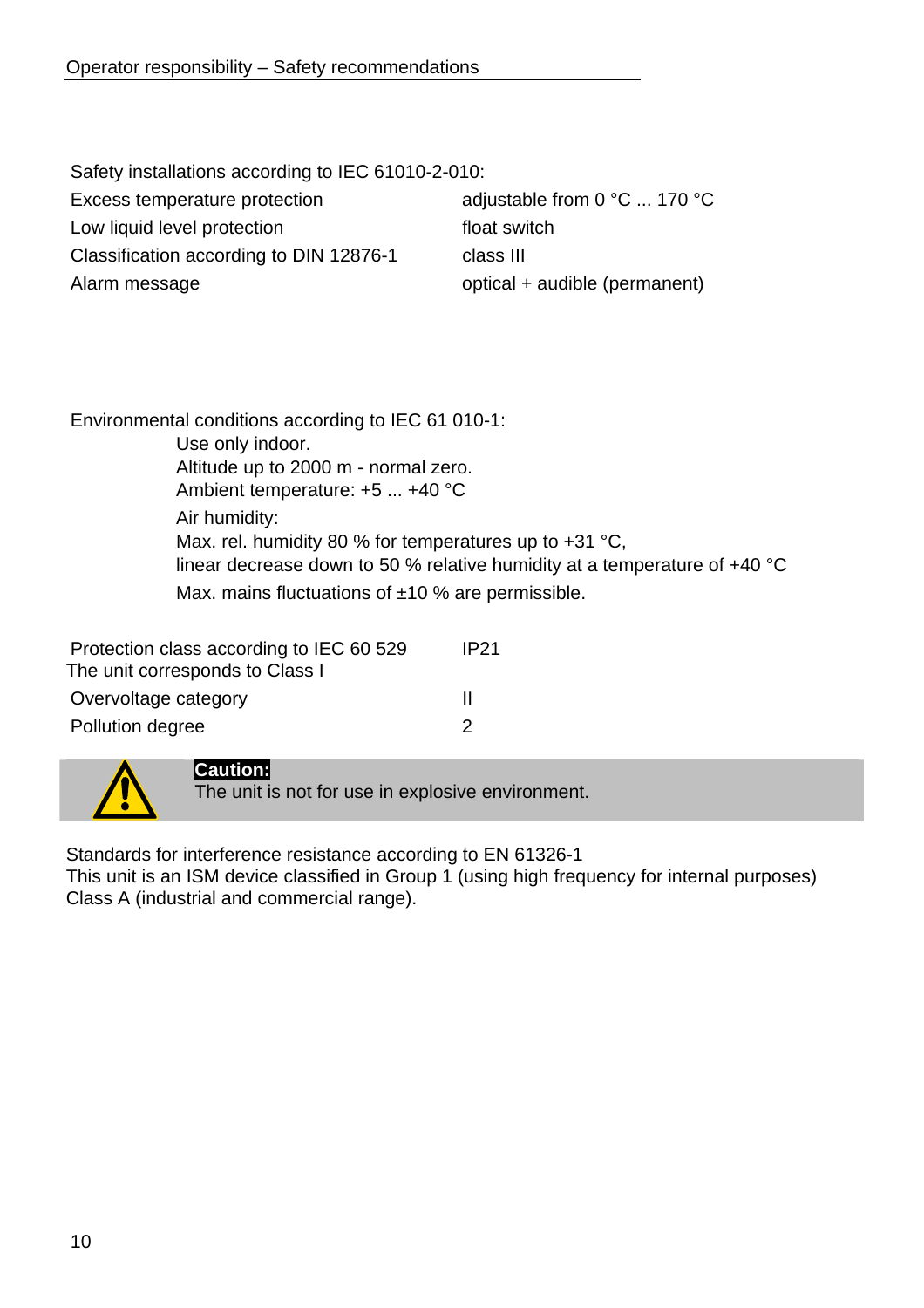Safety installations according to IEC 61010-2-010: Excess temperature protection adjustable from 0 °C ... 170 °C Low liquid level protection float switch Classification according to DIN 12876-1 class III Alarm message **optical + audible (permanent)** 

Environmental conditions according to IEC 61 010-1: Use only indoor. Altitude up to 2000 m - normal zero. Ambient temperature: +5 ... +40 °C Air humidity: Max. rel. humidity 80 % for temperatures up to +31 °C, linear decrease down to 50 % relative humidity at a temperature of +40 °C Max. mains fluctuations of  $±10$  % are permissible.

| Protection class according to IEC 60 529 | <b>IP21</b> |
|------------------------------------------|-------------|
| The unit corresponds to Class I          |             |
| Overvoltage category                     | Ш           |
| Pollution degree                         | 2           |



## **Caution:**

The unit is not for use in explosive environment.

Standards for interference resistance according to EN 61326-1 This unit is an ISM device classified in Group 1 (using high frequency for internal purposes) Class A (industrial and commercial range).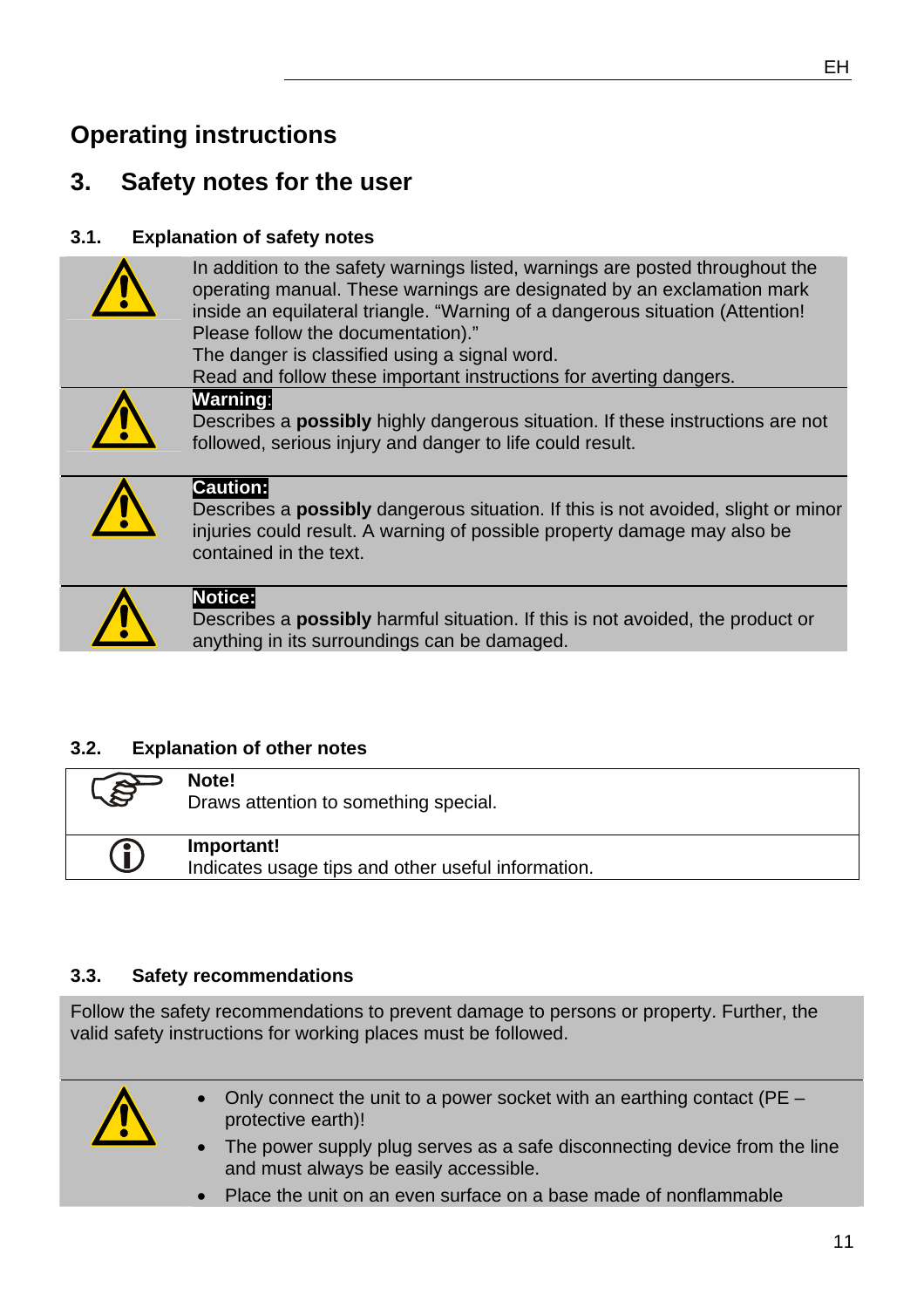## **Operating instructions**

## **3. Safety notes for the user**

## **3.1. Explanation of safety notes**

| In addition to the safety warnings listed, warnings are posted throughout the |
|-------------------------------------------------------------------------------|
| operating manual. These warnings are designated by an exclamation mark        |
| inside an equilateral triangle. "Warning of a dangerous situation (Attention! |
| Please follow the documentation)."                                            |
| The danger is classified using a signal word.                                 |

Read and follow these important instructions for averting dangers.



**Warning**: Describes a **possibly** highly dangerous situation. If these instructions are not followed, serious injury and danger to life could result.



## **Caution:**

Describes a **possibly** dangerous situation. If this is not avoided, slight or minor injuries could result. A warning of possible property damage may also be contained in the text.



#### **Notice:**

Describes a **possibly** harmful situation. If this is not avoided, the product or anything in its surroundings can be damaged.

## **3.2. Explanation of other notes**

| $\rightarrow$ | Note!                                                            |
|---------------|------------------------------------------------------------------|
| S             | Draws attention to something special.                            |
| Û             | Important!<br>Indicates usage tips and other useful information. |

#### **3.3. Safety recommendations**

Follow the safety recommendations to prevent damage to persons or property. Further, the valid safety instructions for working places must be followed.



- Only connect the unit to a power socket with an earthing contact (PE protective earth)!
- The power supply plug serves as a safe disconnecting device from the line and must always be easily accessible.
- Place the unit on an even surface on a base made of nonflammable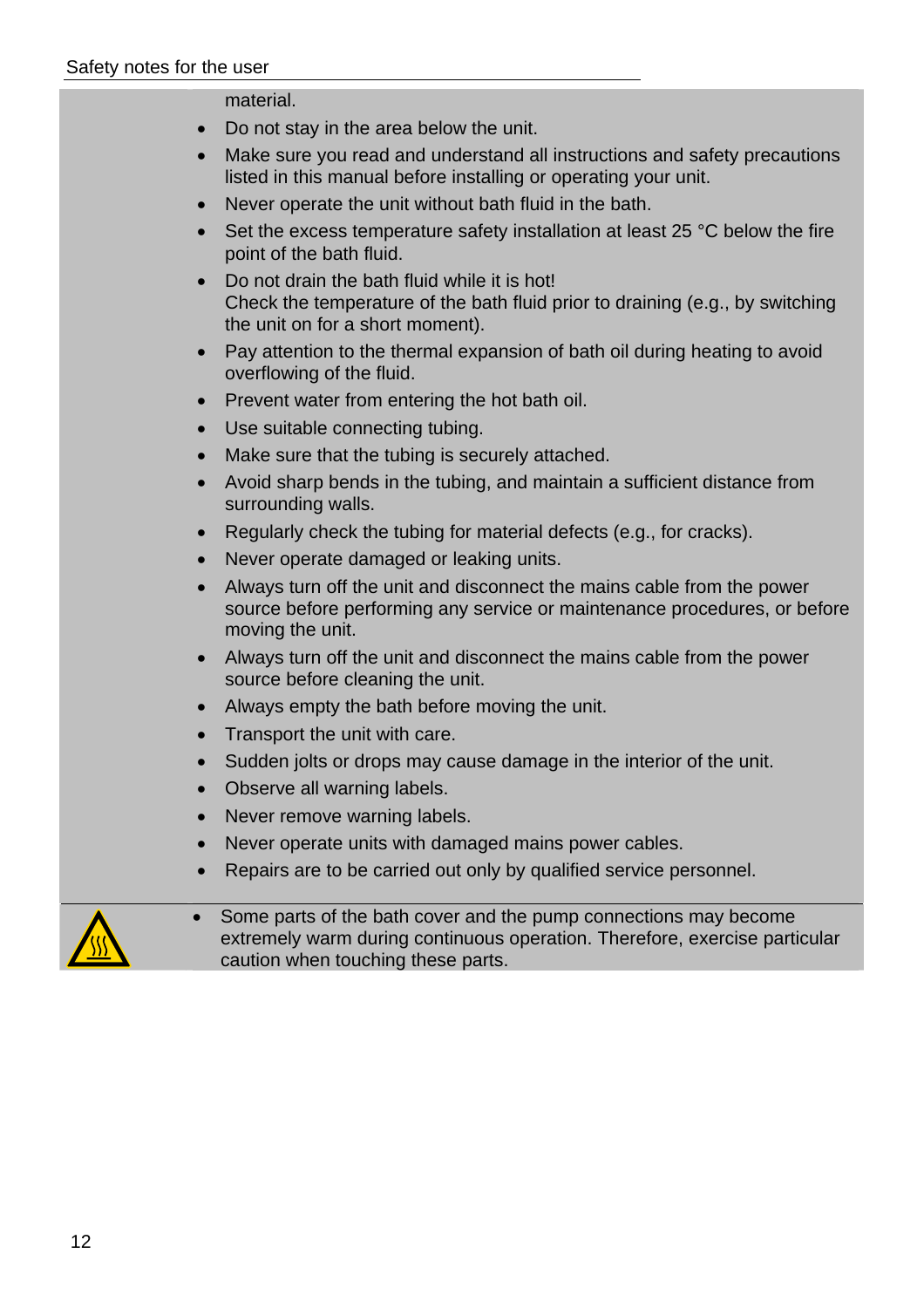#### material.

- Do not stay in the area below the unit.
- Make sure you read and understand all instructions and safety precautions listed in this manual before installing or operating your unit.
- Never operate the unit without bath fluid in the bath.
- Set the excess temperature safety installation at least 25 °C below the fire point of the bath fluid.
- Do not drain the bath fluid while it is hot! Check the temperature of the bath fluid prior to draining (e.g., by switching the unit on for a short moment).
- Pay attention to the thermal expansion of bath oil during heating to avoid overflowing of the fluid.
- Prevent water from entering the hot bath oil.
- Use suitable connecting tubing.
- Make sure that the tubing is securely attached.
- Avoid sharp bends in the tubing, and maintain a sufficient distance from surrounding walls.
- Regularly check the tubing for material defects (e.g., for cracks).
- Never operate damaged or leaking units.
- Always turn off the unit and disconnect the mains cable from the power source before performing any service or maintenance procedures, or before moving the unit.
- Always turn off the unit and disconnect the mains cable from the power source before cleaning the unit.
- Always empty the bath before moving the unit.
- Transport the unit with care.
- Sudden jolts or drops may cause damage in the interior of the unit.
- Observe all warning labels.
- Never remove warning labels.
- Never operate units with damaged mains power cables.
- Repairs are to be carried out only by qualified service personnel.



Some parts of the bath cover and the pump connections may become extremely warm during continuous operation. Therefore, exercise particular caution when touching these parts.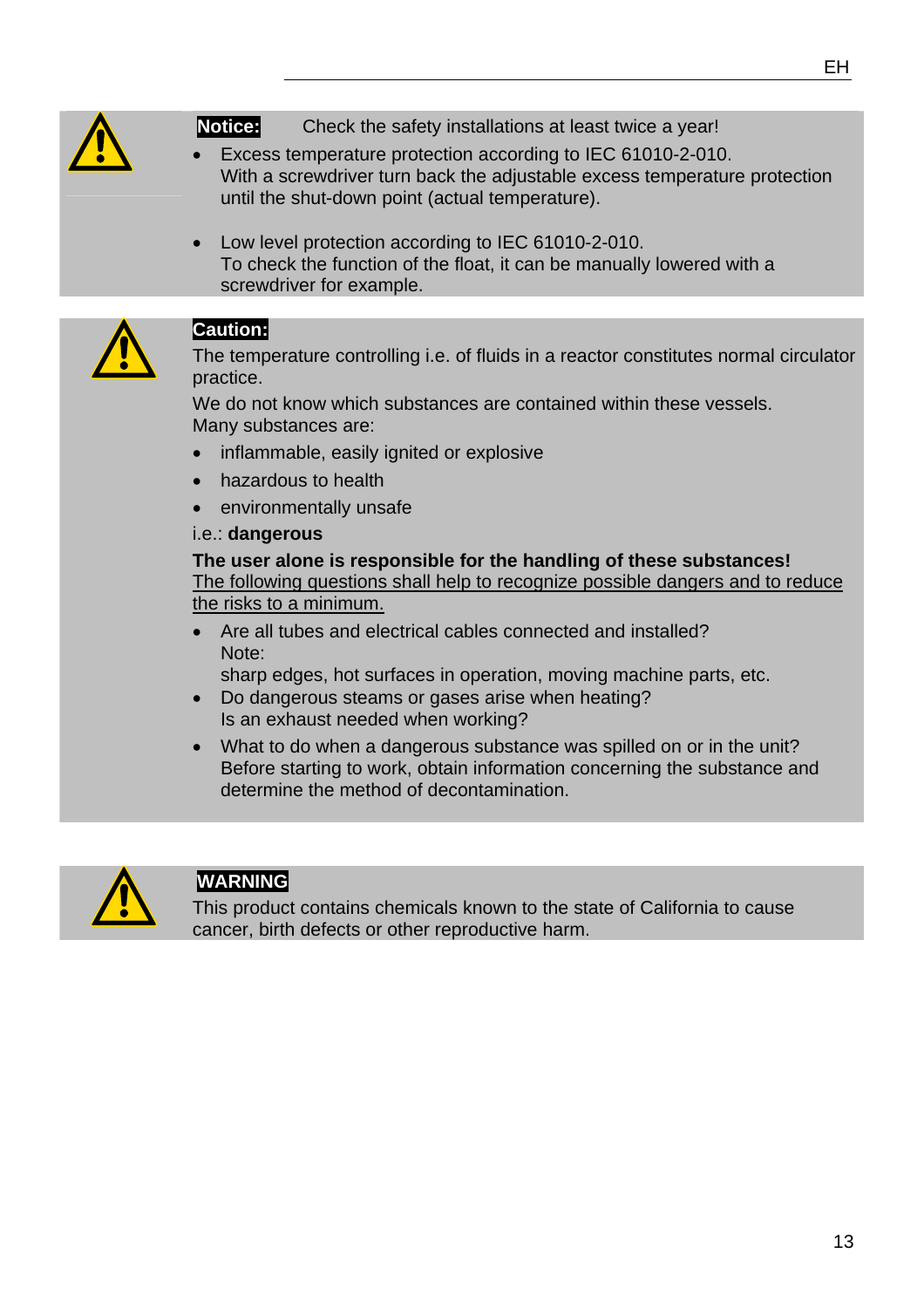

**Notice:** Check the safety installations at least twice a year!

- Excess temperature protection according to IEC 61010-2-010. With a screwdriver turn back the adjustable excess temperature protection until the shut-down point (actual temperature).
- Low level protection according to IEC 61010-2-010. To check the function of the float, it can be manually lowered with a screwdriver for example.



## **Caution:**

The temperature controlling i.e. of fluids in a reactor constitutes normal circulator practice.

We do not know which substances are contained within these vessels. Many substances are:

- inflammable, easily ignited or explosive
- hazardous to health
- environmentally unsafe

#### i.e.: **dangerous**

**The user alone is responsible for the handling of these substances!**  The following questions shall help to recognize possible dangers and to reduce the risks to a minimum.

• Are all tubes and electrical cables connected and installed? Note:

sharp edges, hot surfaces in operation, moving machine parts, etc.

- Do dangerous steams or gases arise when heating? Is an exhaust needed when working?
- What to do when a dangerous substance was spilled on or in the unit? Before starting to work, obtain information concerning the substance and determine the method of decontamination.



## **WARNING**

This product contains chemicals known to the state of California to cause cancer, birth defects or other reproductive harm.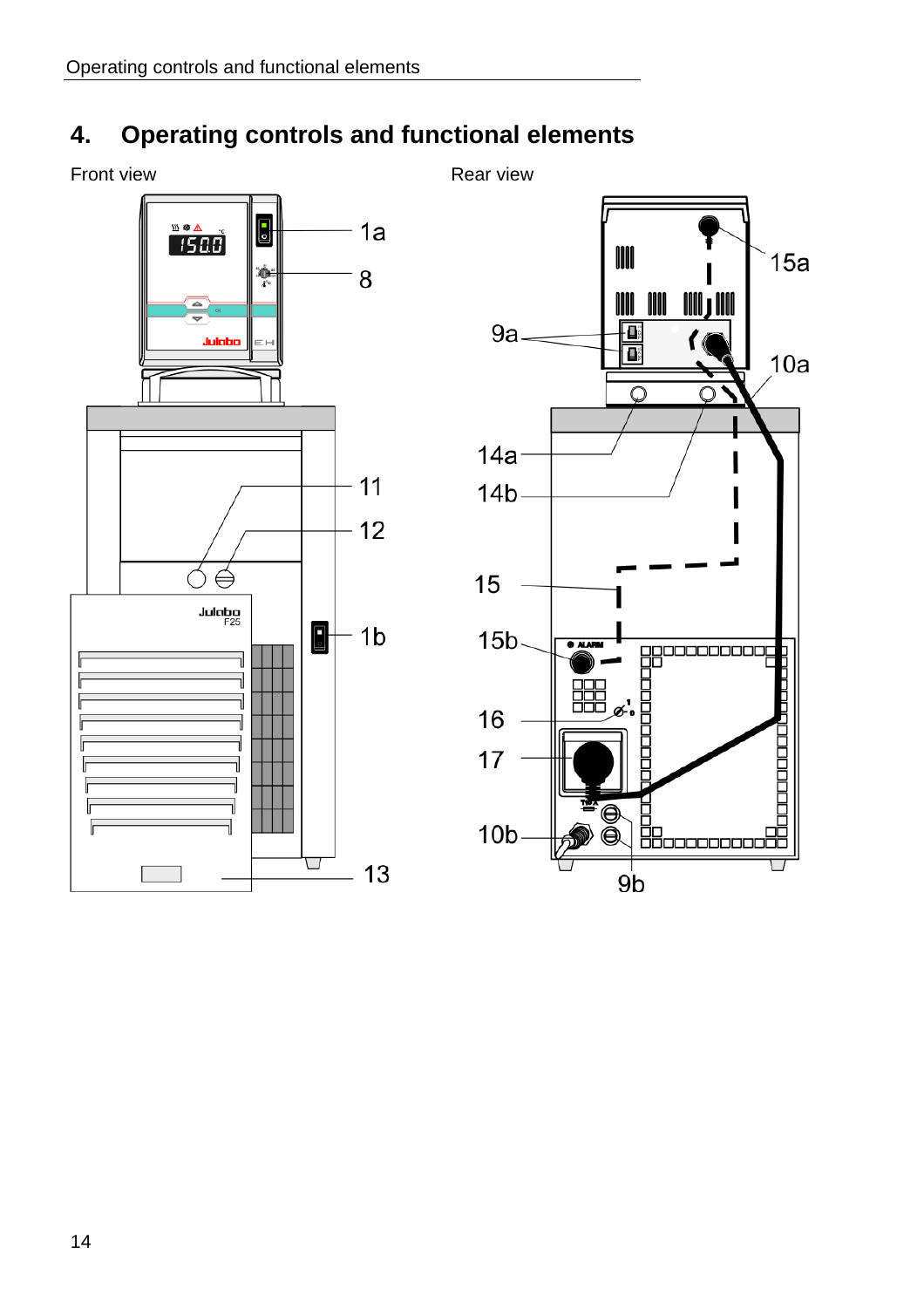## **4. Operating controls and functional elements**

Front view **Rear view** Rear view



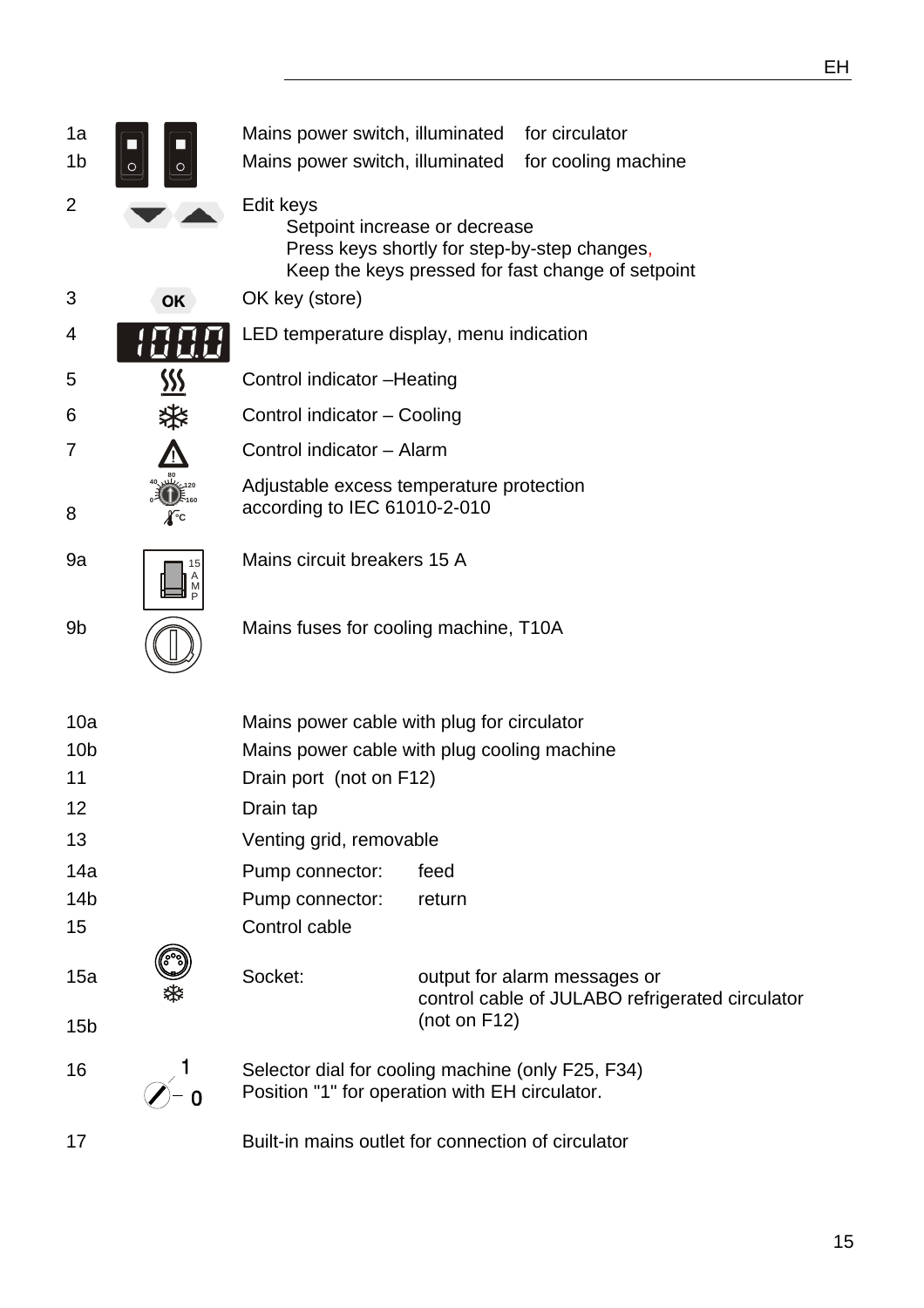| 1a<br>1b        |     | Mains power switch, illuminated<br>Mains power switch, illuminated                                  |                 | for circulator<br>for cooling machine                                                             |
|-----------------|-----|-----------------------------------------------------------------------------------------------------|-----------------|---------------------------------------------------------------------------------------------------|
| $\overline{2}$  |     | Edit keys<br>Setpoint increase or decrease                                                          |                 | Press keys shortly for step-by-step changes,<br>Keep the keys pressed for fast change of setpoint |
| 3               | OK  | OK key (store)                                                                                      |                 |                                                                                                   |
| 4               |     | LED temperature display, menu indication                                                            |                 |                                                                                                   |
| 5               | SSS | Control indicator - Heating                                                                         |                 |                                                                                                   |
| 6               |     | Control indicator - Cooling                                                                         |                 |                                                                                                   |
| 7               |     | Control indicator - Alarm                                                                           |                 |                                                                                                   |
| 8               | ∦∙c | Adjustable excess temperature protection<br>according to IEC 61010-2-010                            |                 |                                                                                                   |
| 9a              |     | Mains circuit breakers 15 A                                                                         |                 |                                                                                                   |
| 9b              |     | Mains fuses for cooling machine, T10A                                                               |                 |                                                                                                   |
| 10a             |     | Mains power cable with plug for circulator                                                          |                 |                                                                                                   |
| 10 <sub>b</sub> |     | Mains power cable with plug cooling machine                                                         |                 |                                                                                                   |
| 11<br>12        |     | Drain port (not on F12)                                                                             |                 |                                                                                                   |
| 13              |     | Drain tap<br>Venting grid, removable                                                                |                 |                                                                                                   |
| 14a             |     | Pump connector:                                                                                     | feed            |                                                                                                   |
| 14 <sub>b</sub> |     | Pump connector:                                                                                     | return          |                                                                                                   |
| 15              |     | Control cable                                                                                       |                 |                                                                                                   |
| 15a             |     | Socket:                                                                                             |                 | output for alarm messages or<br>control cable of JULABO refrigerated circulator                   |
| 15 <sub>b</sub> |     |                                                                                                     | (not on $F12$ ) |                                                                                                   |
| 16              |     | Selector dial for cooling machine (only F25, F34)<br>Position "1" for operation with EH circulator. |                 |                                                                                                   |
| 17              |     | Built-in mains outlet for connection of circulator                                                  |                 |                                                                                                   |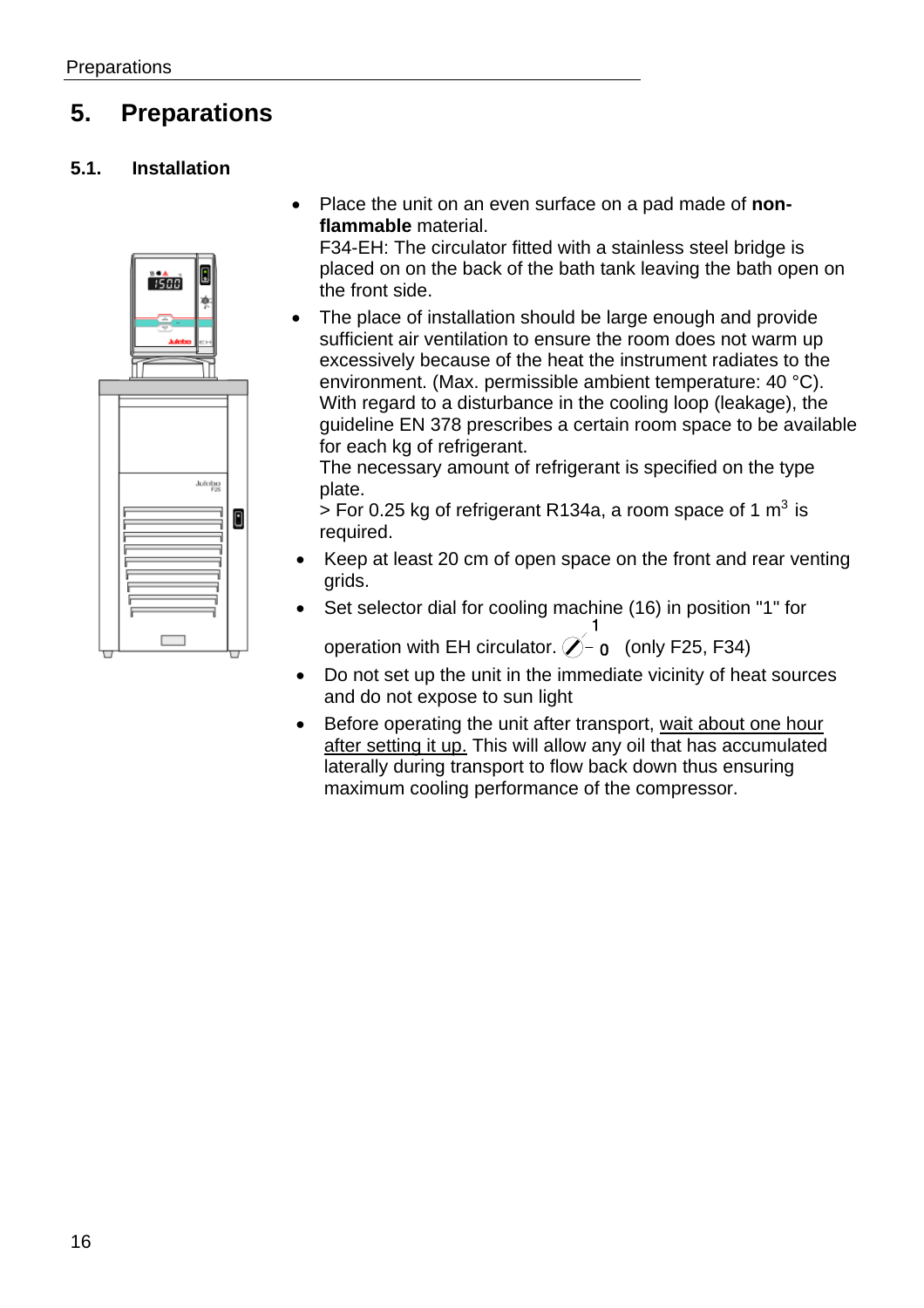## **5. Preparations**

## **5.1. Installation**



• Place the unit on an even surface on a pad made of **nonflammable** material.

F34-EH: The circulator fitted with a stainless steel bridge is placed on on the back of the bath tank leaving the bath open on the front side.

The place of installation should be large enough and provide sufficient air ventilation to ensure the room does not warm up excessively because of the heat the instrument radiates to the environment. (Max. permissible ambient temperature: 40 °C). With regard to a disturbance in the cooling loop (leakage), the guideline EN 378 prescribes a certain room space to be available for each kg of refrigerant.

The necessary amount of refrigerant is specified on the type plate.

 $>$  For 0.25 kg of refrigerant R134a, a room space of 1 m<sup>3</sup> is required.

- Keep at least 20 cm of open space on the front and rear venting grids.
- Set selector dial for cooling machine (16) in position "1" for

operation with EH circulator.  $\hat{\mathcal{O}}$  o (only F25, F34)

- Do not set up the unit in the immediate vicinity of heat sources and do not expose to sun light
- Before operating the unit after transport, wait about one hour after setting it up. This will allow any oil that has accumulated laterally during transport to flow back down thus ensuring maximum cooling performance of the compressor.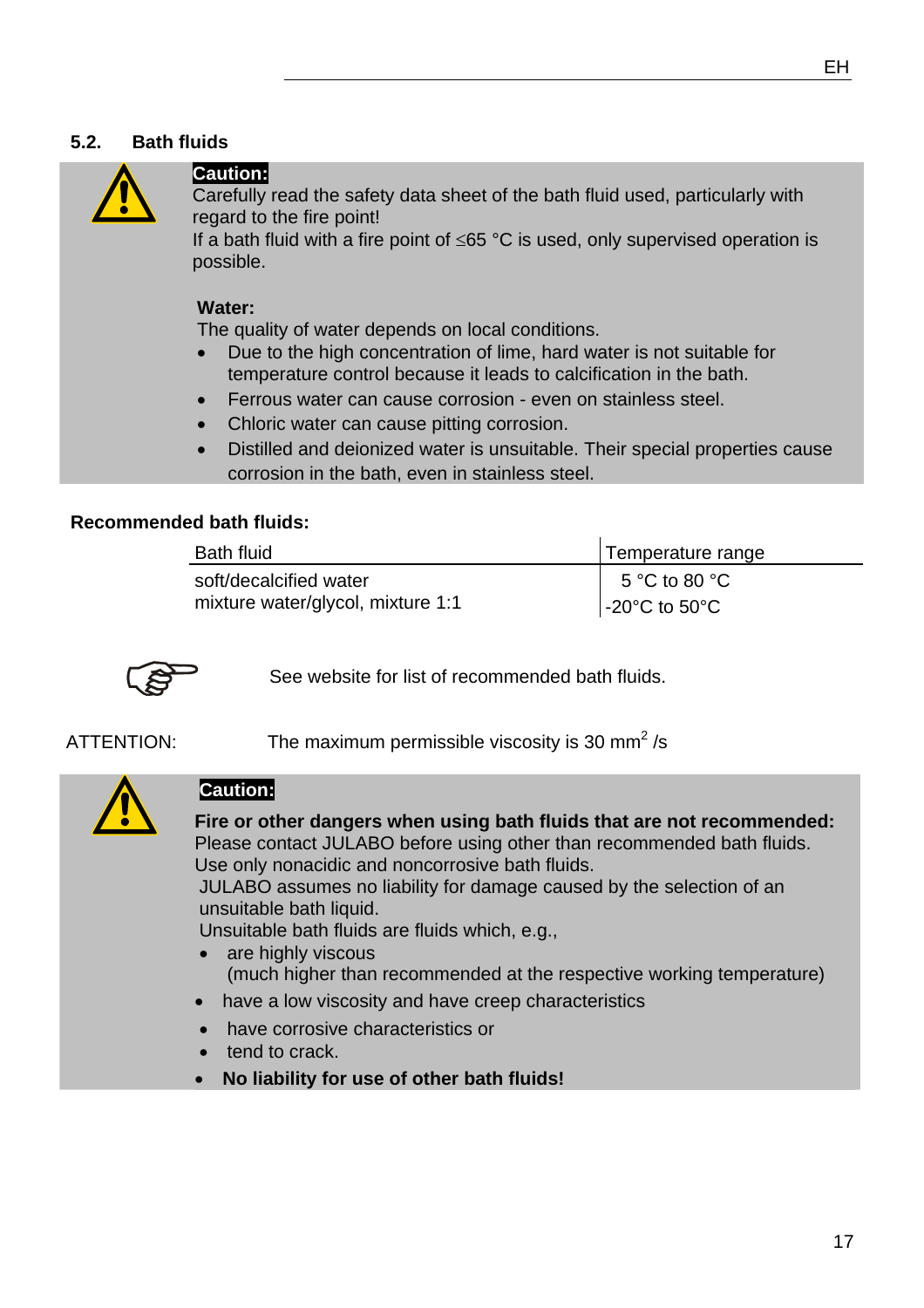#### **5.2. Bath fluids**



### **Caution:**

Carefully read the safety data sheet of the bath fluid used, particularly with regard to the fire point!

If a bath fluid with a fire point of ≤65 °C is used, only supervised operation is possible.

#### **Water:**

The quality of water depends on local conditions.

- Due to the high concentration of lime, hard water is not suitable for temperature control because it leads to calcification in the bath.
- Ferrous water can cause corrosion even on stainless steel.
- Chloric water can cause pitting corrosion.
- Distilled and deionized water is unsuitable. Their special properties cause corrosion in the bath, even in stainless steel.

#### **Recommended bath fluids:**

| <b>Bath fluid</b>                 | Temperature range    |
|-----------------------------------|----------------------|
| soft/decalcified water            | 5 °C to 80 °C        |
| mixture water/glycol, mixture 1:1 | $\sim$ -20°C to 50°C |



See website for list of recommended bath fluids.

ATTENTION: The maximum permissible viscosity is 30 mm<sup>2</sup>/s



#### **Caution:**

**Fire or other dangers when using bath fluids that are not recommended:**  Please contact JULABO before using other than recommended bath fluids. Use only nonacidic and noncorrosive bath fluids.

JULABO assumes no liability for damage caused by the selection of an unsuitable bath liquid.

Unsuitable bath fluids are fluids which, e.g.,

- are highly viscous (much higher than recommended at the respective working temperature)
- have a low viscosity and have creep characteristics
- have corrosive characteristics or
- tend to crack
- **No liability for use of other bath fluids!**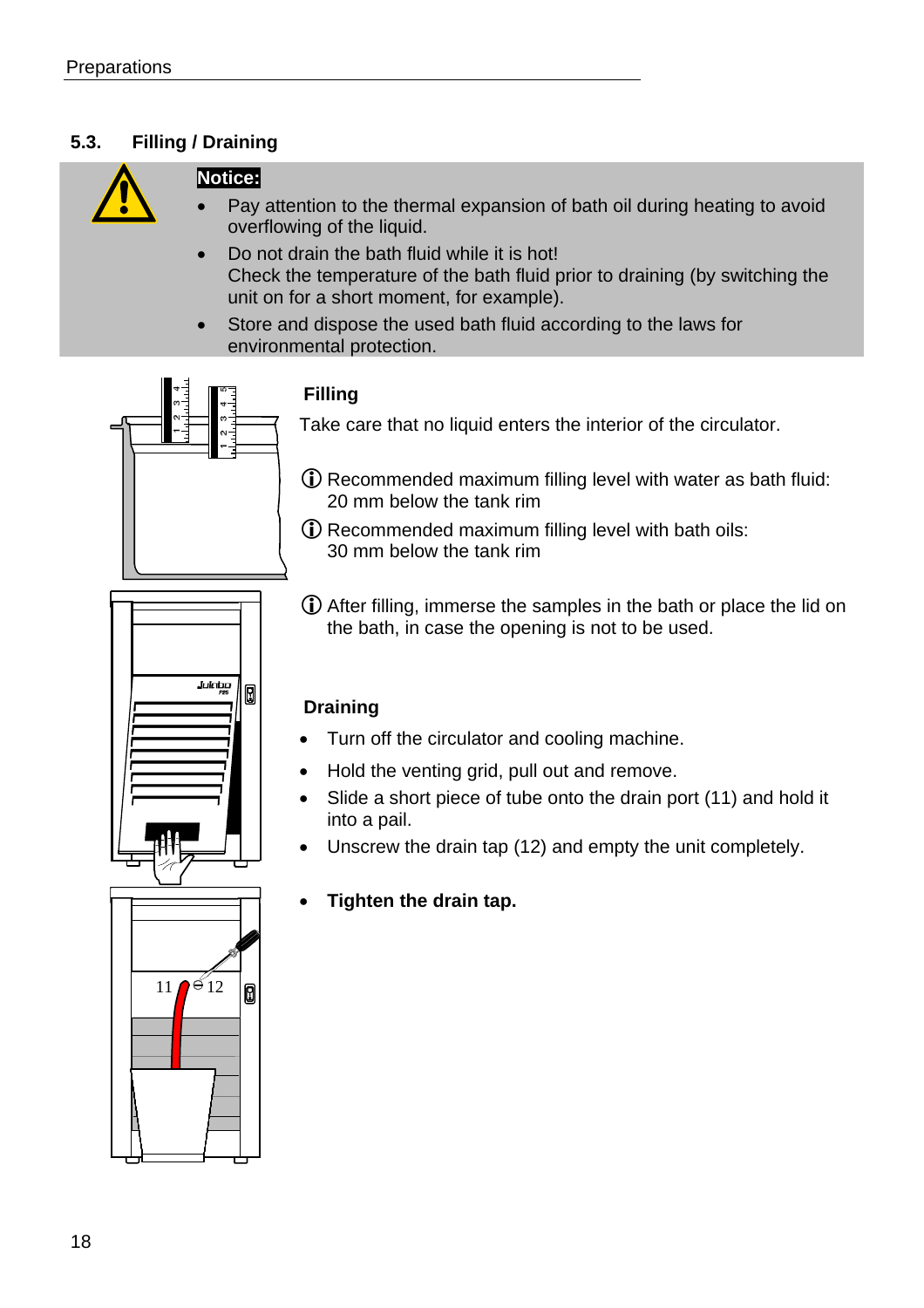## **5.3. Filling / Draining**



## **Notice:**

- Pay attention to the thermal expansion of bath oil during heating to avoid overflowing of the liquid.
- Do not drain the bath fluid while it is hot! Check the temperature of the bath fluid prior to draining (by switching the unit on for a short moment, for example).
- Store and dispose the used bath fluid according to the laws for environmental protection.



Julabo

0

## **Filling**

Take care that no liquid enters the interior of the circulator.

- (i) Recommended maximum filling level with water as bath fluid: 20 mm below the tank rim
- LRecommended maximum filling level with bath oils: 30 mm below the tank rim
- LAfter filling, immerse the samples in the bath or place the lid on the bath, in case the opening is not to be used.

## **Draining**

- Turn off the circulator and cooling machine.
- Hold the venting grid, pull out and remove.
- Slide a short piece of tube onto the drain port (11) and hold it into a pail.
- Unscrew the drain tap (12) and empty the unit completely.
- **Tighten the drain tap.**

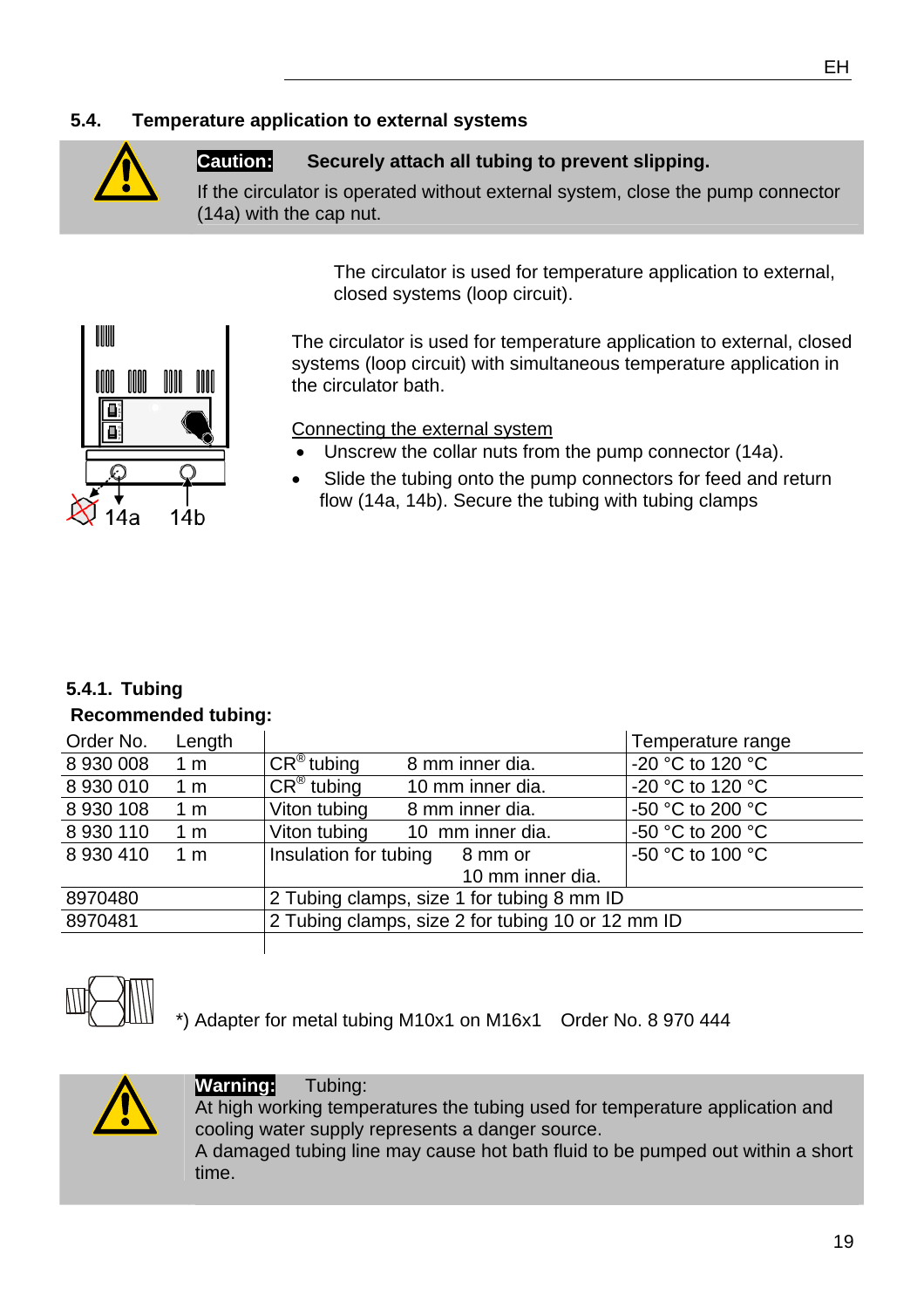## **5.4. Temperature application to external systems**



#### **Caution: Securely attach all tubing to prevent slipping.**

If the circulator is operated without external system, close the pump connector (14a) with the cap nut.

> The circulator is used for temperature application to external, closed systems (loop circuit).



The circulator is used for temperature application to external, closed systems (loop circuit) with simultaneous temperature application in the circulator bath.

Connecting the external system

- Unscrew the collar nuts from the pump connector (14a).
- Slide the tubing onto the pump connectors for feed and return flow (14a, 14b). Secure the tubing with tubing clamps

#### **5.4.1. Tubing**

#### **Recommended tubing:**

| Order No.     | Length         |                                                   |                  | Temperature range |  |
|---------------|----------------|---------------------------------------------------|------------------|-------------------|--|
| 8 930 008     | $1 \text{ m}$  | $CR^{\circledR}$ tubing                           | 8 mm inner dia.  | -20 °C to 120 °C  |  |
| 8 930 010     | 1 <sub>m</sub> | $CR^{\circledR}$ tubing                           | 10 mm inner dia. | -20 °C to 120 °C  |  |
| 8 930 108     | 1 <sub>m</sub> | Viton tubing                                      | 8 mm inner dia.  | -50 °C to 200 °C  |  |
| 8 930 110     | 1 <sub>m</sub> | Viton tubing                                      | 10 mm inner dia. | -50 °C to 200 °C  |  |
| 8 9 3 0 4 1 0 | 1 <sub>m</sub> | Insulation for tubing                             | 8 mm or          | -50 °C to 100 °C  |  |
|               |                |                                                   | 10 mm inner dia. |                   |  |
| 8970480       |                | 2 Tubing clamps, size 1 for tubing 8 mm ID        |                  |                   |  |
| 8970481       |                | 2 Tubing clamps, size 2 for tubing 10 or 12 mm ID |                  |                   |  |
|               |                |                                                   |                  |                   |  |



\*) Adapter for metal tubing M10x1 on M16x1 Order No. 8 970 444



### **Warning:** Tubing:

time.

At high working temperatures the tubing used for temperature application and cooling water supply represents a danger source. A damaged tubing line may cause hot bath fluid to be pumped out within a short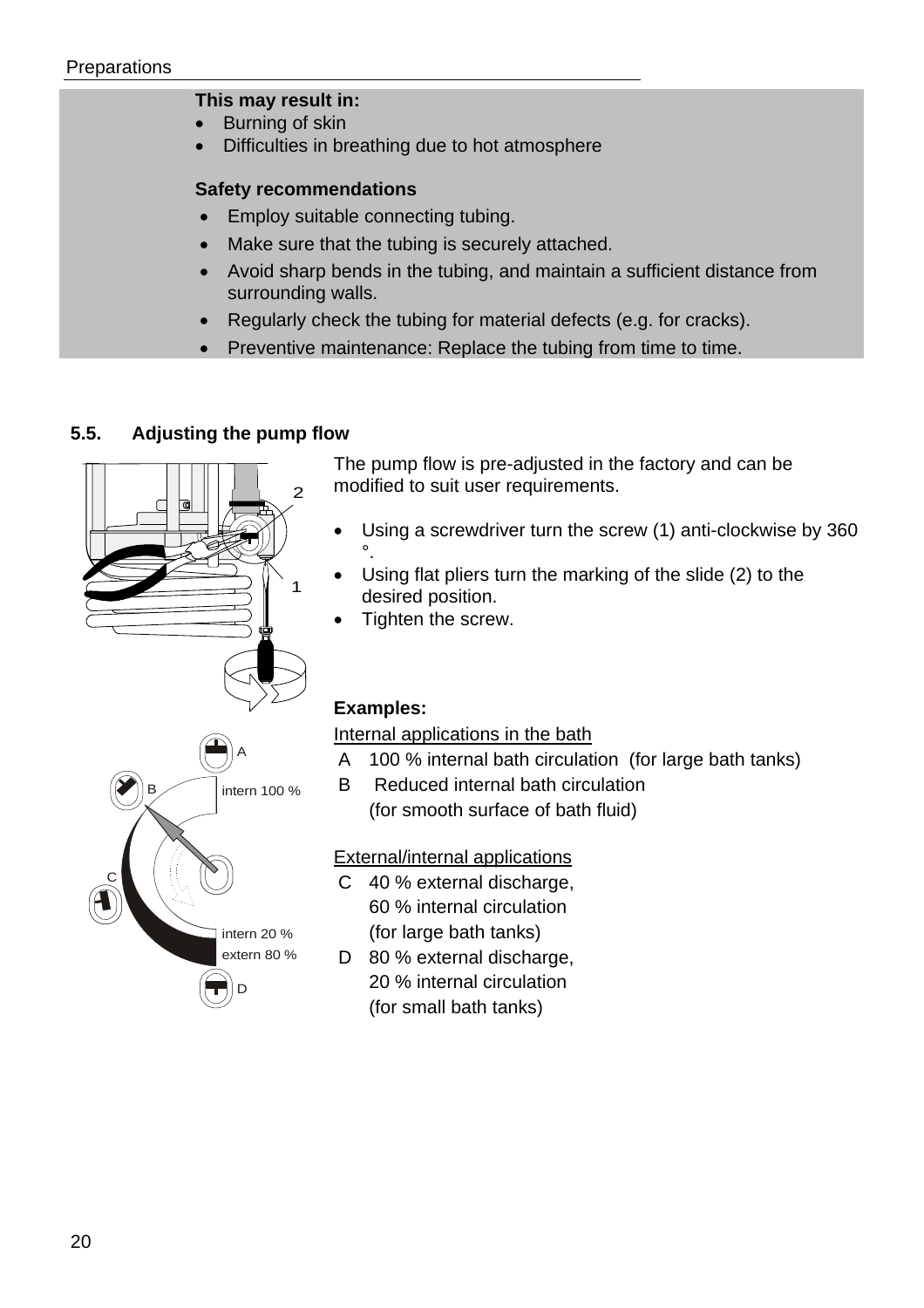#### **This may result in:**

- Burning of skin
- Difficulties in breathing due to hot atmosphere

#### **Safety recommendations**

- Employ suitable connecting tubing.
- Make sure that the tubing is securely attached.
- Avoid sharp bends in the tubing, and maintain a sufficient distance from surrounding walls.
- Regularly check the tubing for material defects (e.g. for cracks).
- Preventive maintenance: Replace the tubing from time to time.

#### **5.5. Adjusting the pump flow**



The pump flow is pre-adjusted in the factory and can be modified to suit user requirements.

- Using a screwdriver turn the screw (1) anti-clockwise by 360 °.
- Using flat pliers turn the marking of the slide (2) to the desired position.
- Tighten the screw.

#### **Examples:**

Internal applications in the bath

- A 100 % internal bath circulation (for large bath tanks)
- B Reduced internal bath circulation (for smooth surface of bath fluid)

External/internal applications

- C 40 % external discharge, 60 % internal circulation (for large bath tanks)
- D 80 % external discharge, 20 % internal circulation (for small bath tanks)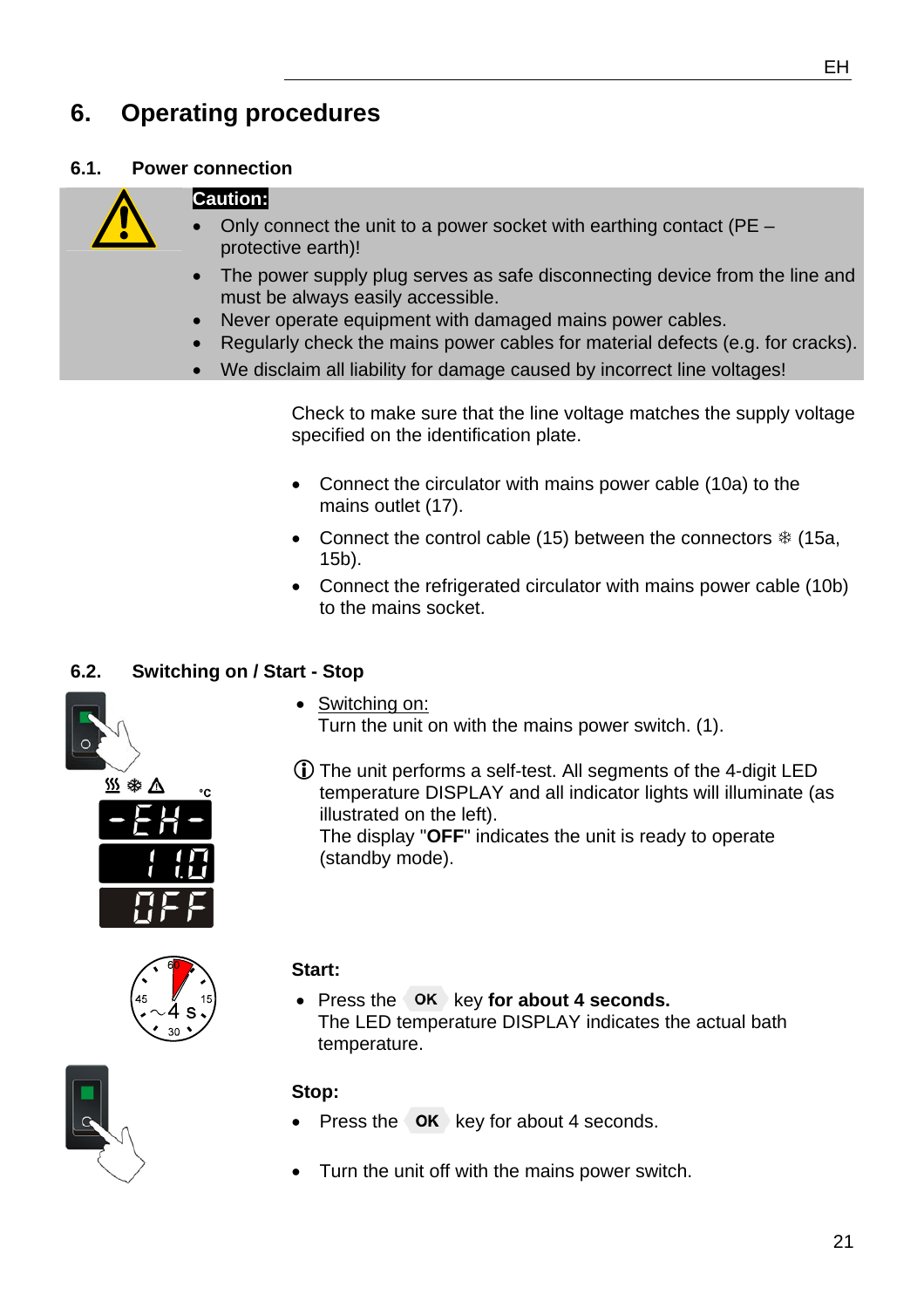## **6. Operating procedures**

#### **6.1. Power connection**

#### **Caution:**



- Only connect the unit to a power socket with earthing contact (PE protective earth)!
- The power supply plug serves as safe disconnecting device from the line and must be always easily accessible.
- Never operate equipment with damaged mains power cables.
- Regularly check the mains power cables for material defects (e.g. for cracks).
- We disclaim all liability for damage caused by incorrect line voltages!

Check to make sure that the line voltage matches the supply voltage specified on the identification plate.

• Connect the circulator with mains power cable (10a) to the mains outlet (17).

Turn the unit on with the mains power switch. (1).

LThe unit performs a self-test. All segments of the 4-digit LED temperature DISPLAY and all indicator lights will illuminate (as

The display "**OFF**" indicates the unit is ready to operate

- Connect the control cable (15) between the connectors  $*$  (15a, 15b).
- Connect the refrigerated circulator with mains power cable (10b) to the mains socket.

## **6.2. Switching on / Start - Stop**







#### **Start:**

• Switching on:

illustrated on the left).

(standby mode).

• Press the OK key for about 4 seconds. The LED temperature DISPLAY indicates the actual bath temperature.



## **Stop:**

- Press the **OK** key for about 4 seconds.
- Turn the unit off with the mains power switch.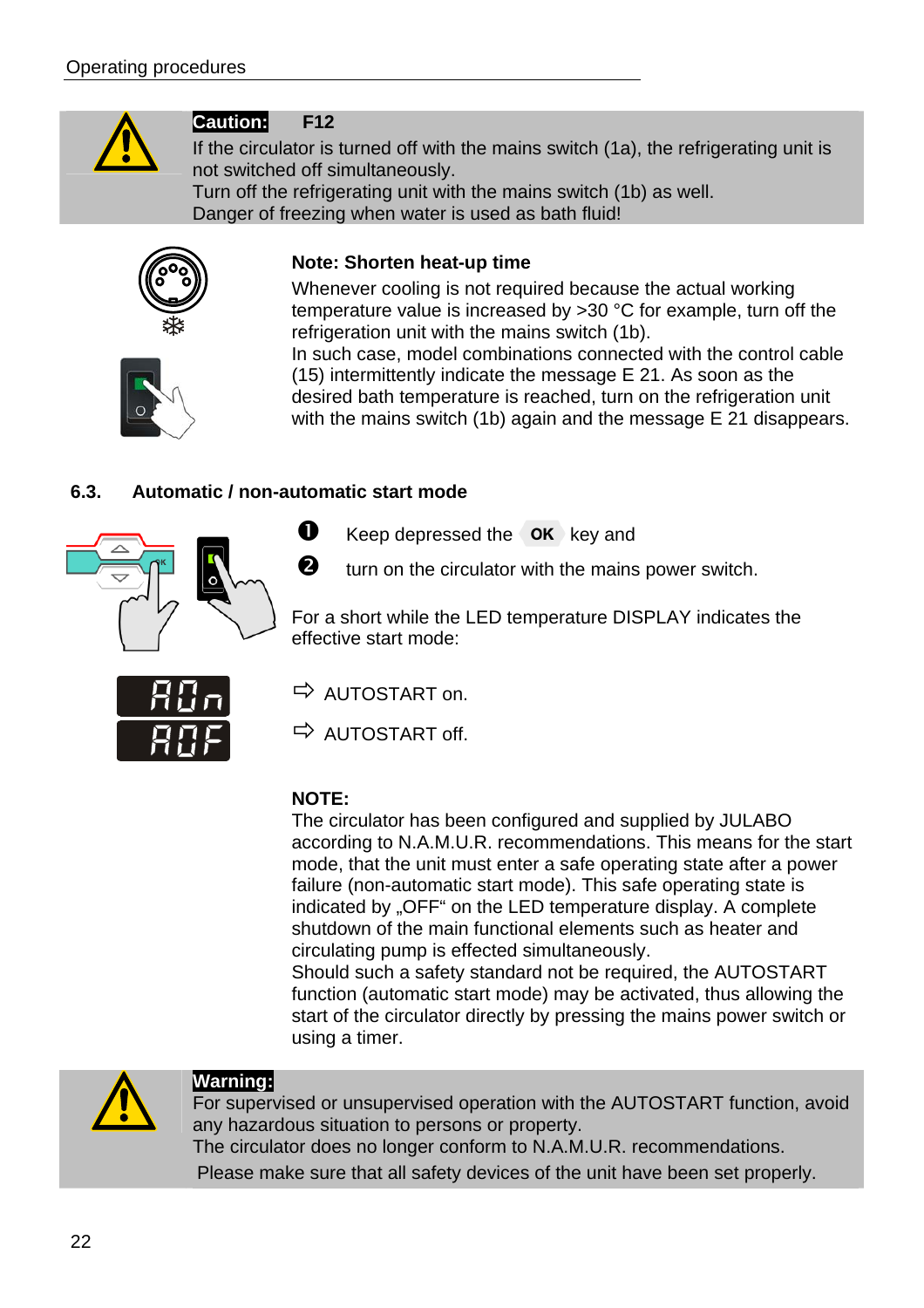

## **Caution: F12**

If the circulator is turned off with the mains switch (1a), the refrigerating unit is not switched off simultaneously. Turn off the refrigerating unit with the mains switch (1b) as well. Danger of freezing when water is used as bath fluid!





Whenever cooling is not required because the actual working temperature value is increased by >30 °C for example, turn off the refrigeration unit with the mains switch (1b).

In such case, model combinations connected with the control cable (15) intermittently indicate the message E 21. As soon as the desired bath temperature is reached, turn on the refrigeration unit with the mains switch (1b) again and the message E 21 disappears.

## **6.3. Automatic / non-automatic start mode**



 $\bullet$  Keep depressed the  $\circ$ K key and

 $\bullet$  turn on the circulator with the mains power switch.

For a short while the LED temperature DISPLAY indicates the effective start mode:



 $\Rightarrow$  AUTOSTART on.

 $\Rightarrow$  AUTOSTART off.

#### **NOTE:**

The circulator has been configured and supplied by JULABO according to N.A.M.U.R. recommendations. This means for the start mode, that the unit must enter a safe operating state after a power failure (non-automatic start mode). This safe operating state is indicated by "OFF" on the LED temperature display. A complete shutdown of the main functional elements such as heater and circulating pump is effected simultaneously.

Should such a safety standard not be required, the AUTOSTART function (automatic start mode) may be activated, thus allowing the start of the circulator directly by pressing the mains power switch or using a timer.



#### **Warning:**

For supervised or unsupervised operation with the AUTOSTART function, avoid any hazardous situation to persons or property. The circulator does no longer conform to N.A.M.U.R. recommendations. Please make sure that all safety devices of the unit have been set properly.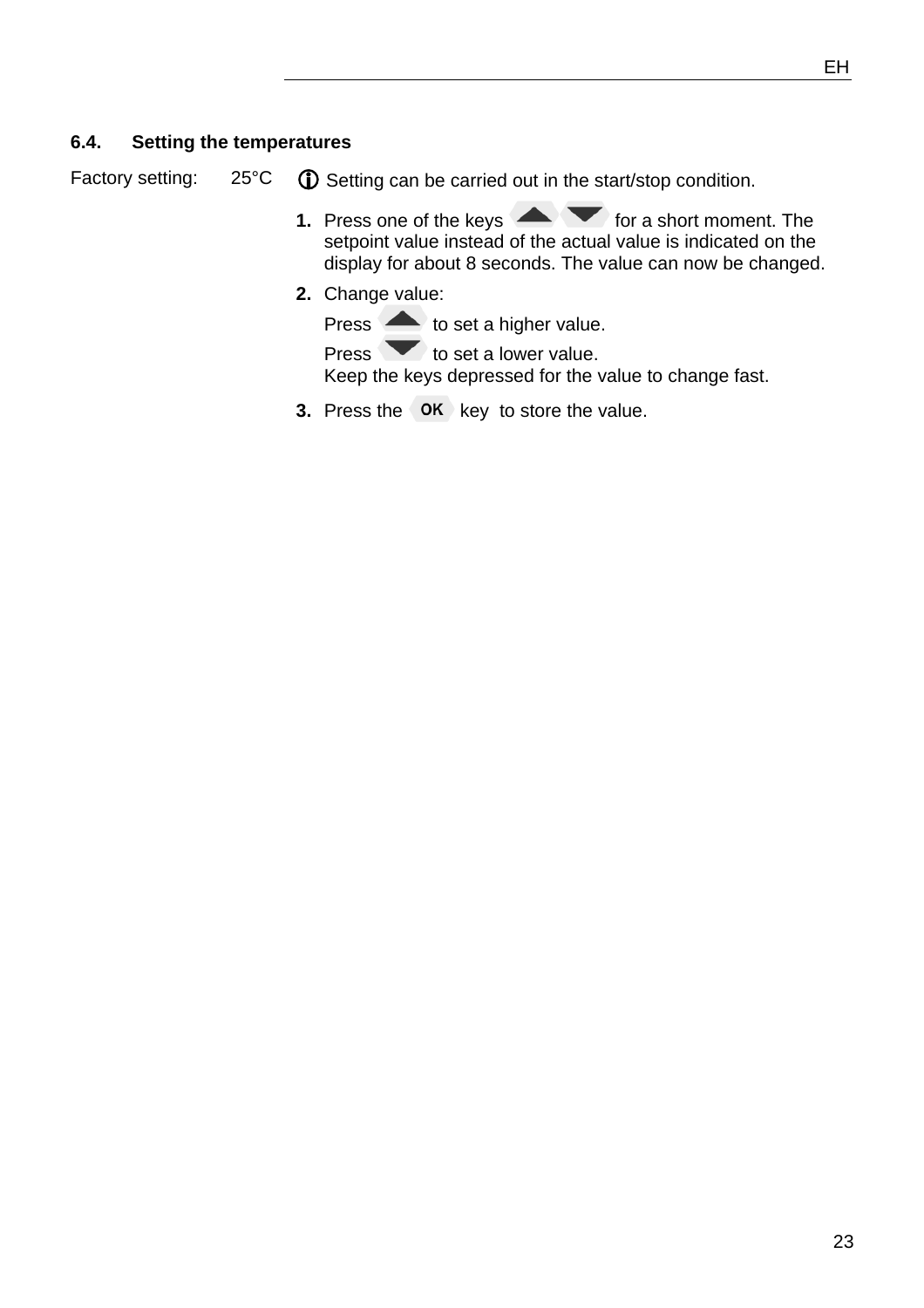#### **6.4. Setting the temperatures**

Factory setting:  $25^{\circ}C$  **(i)** Setting can be carried out in the start/stop condition.

- **1.** Press one of the keys **Form a** for a short moment. The setpoint value instead of the actual value is indicated on the display for about 8 seconds. The value can now be changed.
- **2.** Change value:

Press **to set a higher value.** 

Press  $\bullet$  to set a lower value. Keep the keys depressed for the value to change fast.

**3.** Press the OK key to store the value.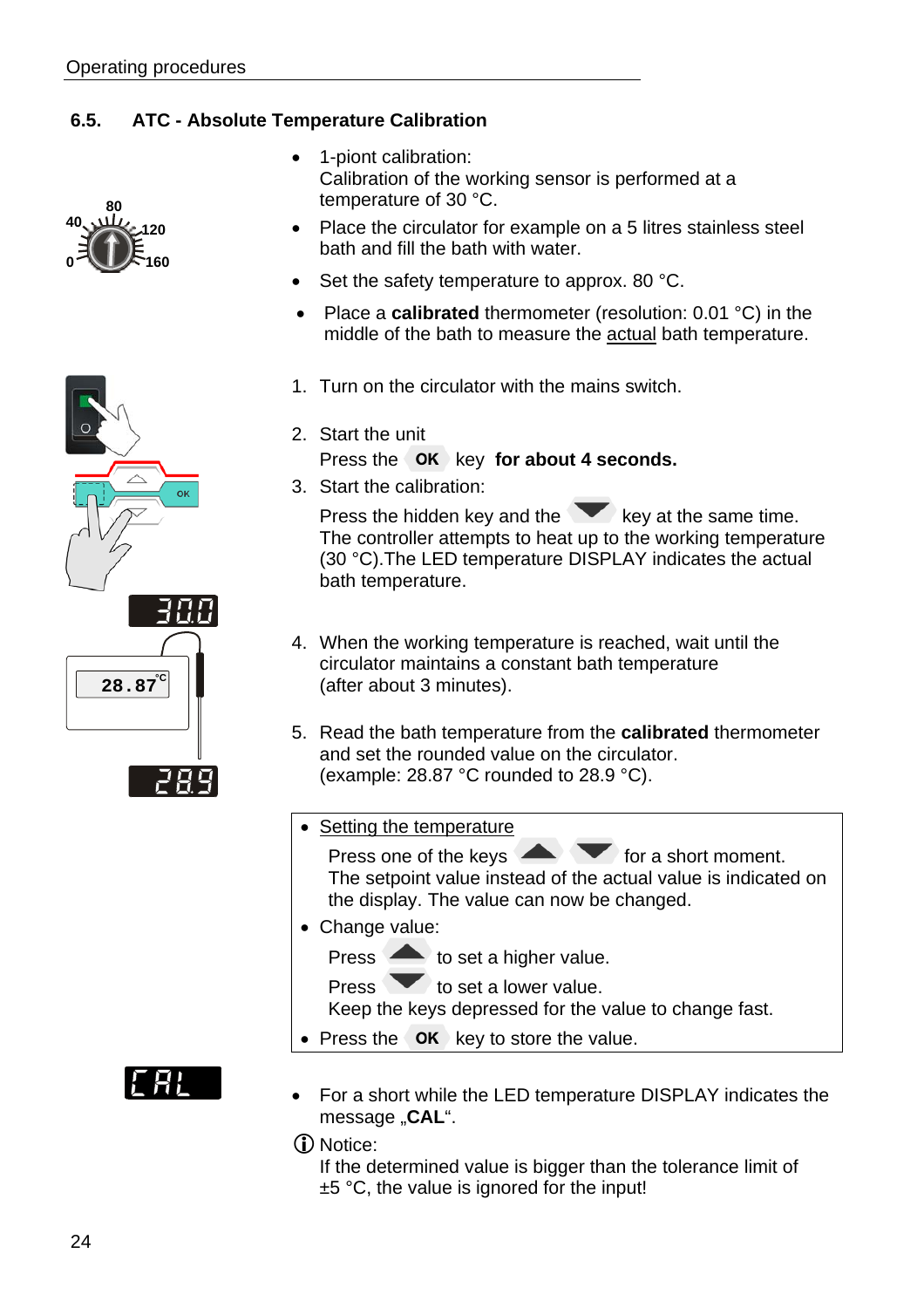## **6.5. ATC - Absolute Temperature Calibration**







- 1-piont calibration: Calibration of the working sensor is performed at a temperature of 30 °C.
- Place the circulator for example on a 5 litres stainless steel bath and fill the bath with water.
- Set the safety temperature to approx. 80 °C.
- Place a **calibrated** thermometer (resolution: 0.01 °C) in the middle of the bath to measure the actual bath temperature.
- 1. Turn on the circulator with the mains switch.
- 2. Start the unit
	- Press the OK key for about 4 seconds.
- 3. Start the calibration:

Press the hidden key and the  $\blacktriangleright$  key at the same time. The controller attempts to heat up to the working temperature (30 °C).The LED temperature DISPLAY indicates the actual bath temperature.

- 4. When the working temperature is reached, wait until the circulator maintains a constant bath temperature (after about 3 minutes).
- 5. Read the bath temperature from the **calibrated** thermometer and set the rounded value on the circulator. (example: 28.87 °C rounded to 28.9 °C).
- Setting the temperature

Press one of the keys  $\sim$  for a short moment. The setpoint value instead of the actual value is indicated on the display. The value can now be changed.

- Change value:
	- Press to set a higher value.

Press  $\bullet$  to set a lower value.

Keep the keys depressed for the value to change fast.

- Press the  $\overline{OR}$  key to store the value.
- For a short while the LED temperature DISPLAY indicates the message "CAL".

D Notice:

If the determined value is bigger than the tolerance limit of ±5 °C, the value is ignored for the input!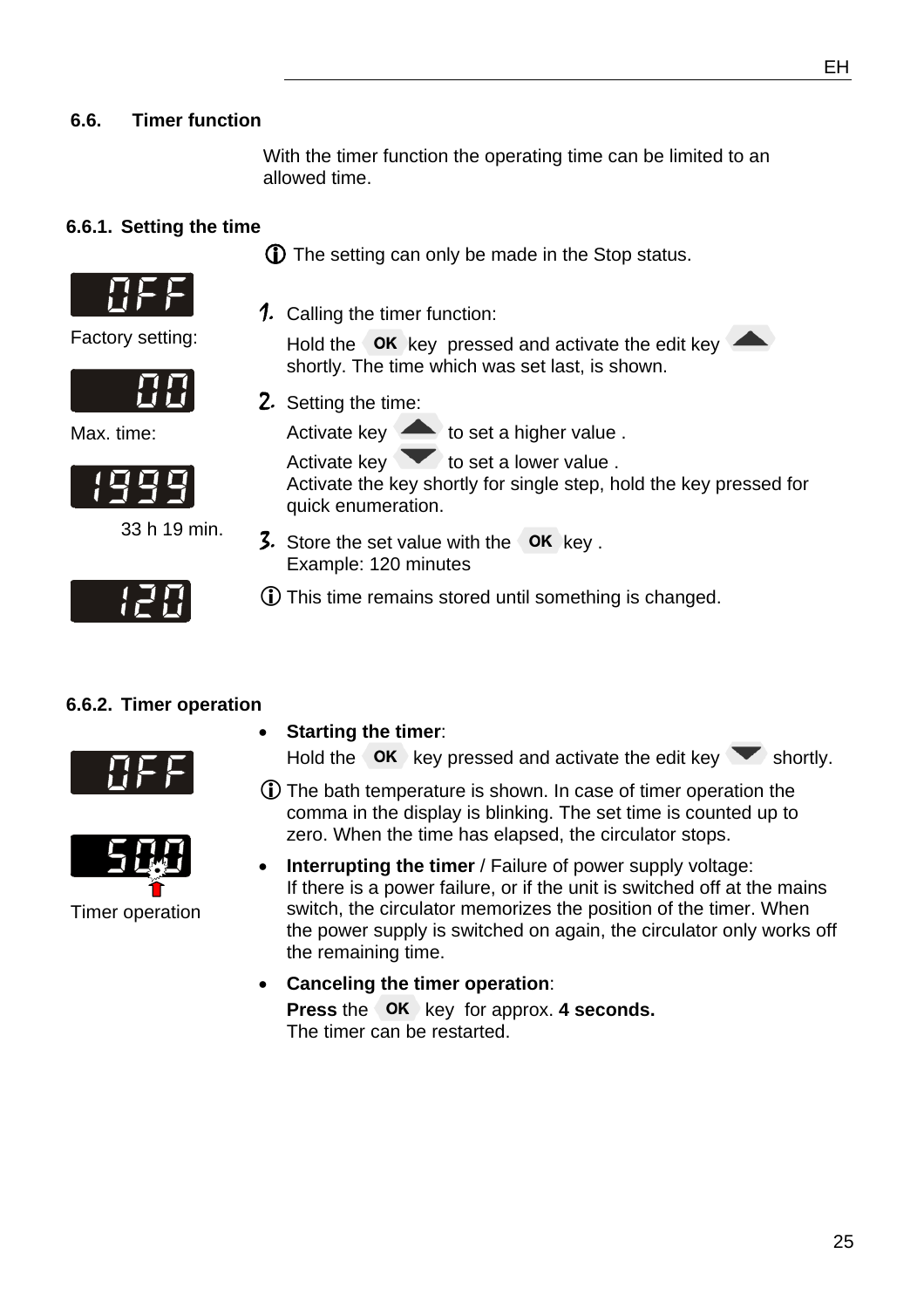### **6.6. Timer function**

With the timer function the operating time can be limited to an allowed time.

#### **6.6.1. Setting the time**



1. Calling the timer function:

Hold the  $\overline{\phantom{a}}$  OK key pressed and activate the edit key shortly. The time which was set last, is shown.

2. Setting the time:

Activate key  $\triangle$  to set a higher value .

Activate key  $\bullet$  to set a lower value . Activate the key shortly for single step, hold the key pressed for quick enumeration.

- 3. Store the set value with the  $\overline{\text{OK}}$  key . Example: 120 minutes
- LThis time remains stored until something is changed.

#### **6.6.2. Timer operation**



Hold the  $\overline{\phantom{a}}$  ok key pressed and activate the edit key shortly.

- LThe bath temperature is shown. In case of timer operation the comma in the display is blinking. The set time is counted up to zero. When the time has elapsed, the circulator stops.
- **Interrupting the timer** / Failure of power supply voltage: If there is a power failure, or if the unit is switched off at the mains switch, the circulator memorizes the position of the timer. When the power supply is switched on again, the circulator only works off the remaining time.
- **Canceling the timer operation**: **Press** the **OK** key for approx. **4 seconds.** The timer can be restarted.

Factory setting:



Max. time:



33 h 19 min.





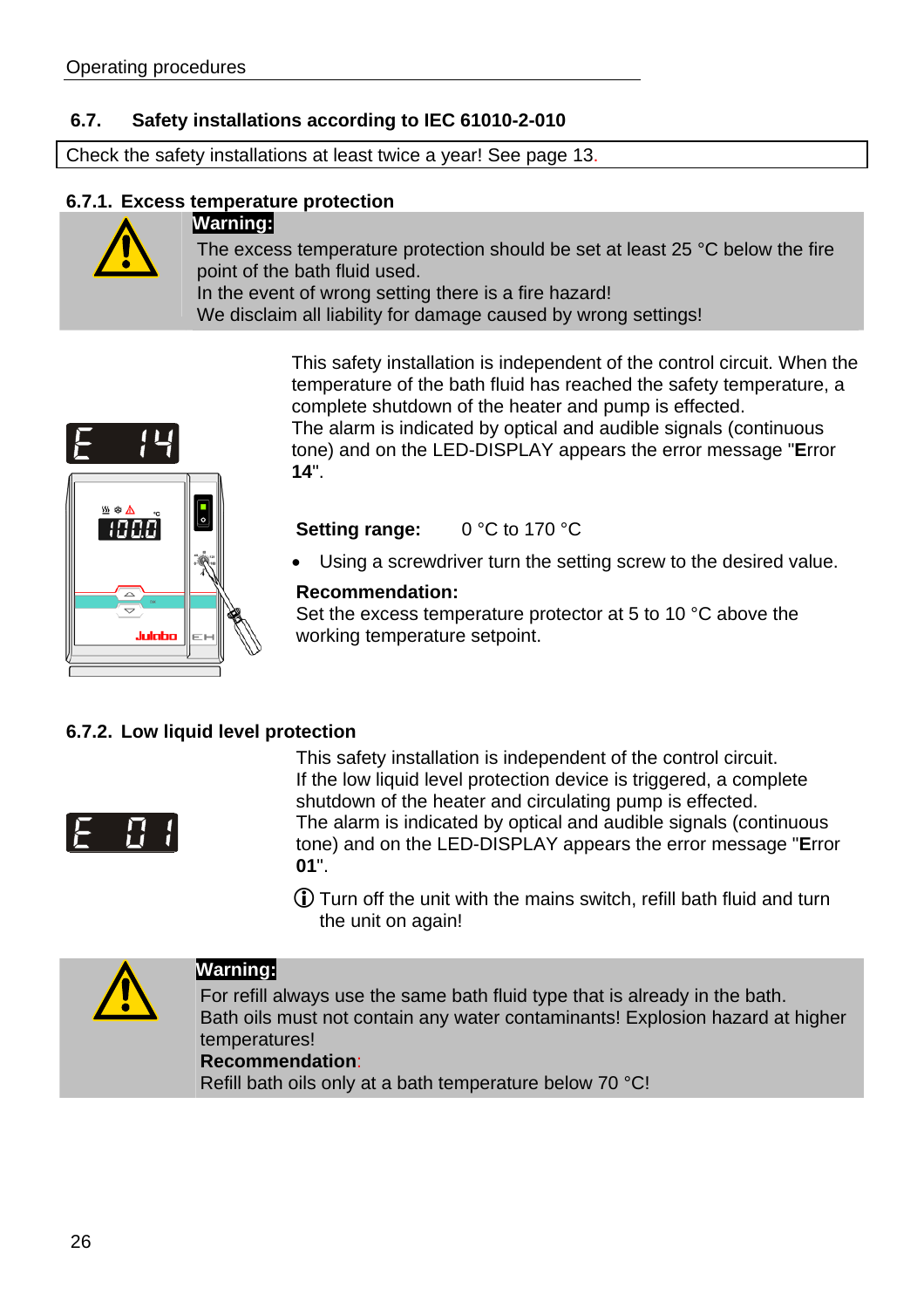## **6.7. Safety installations according to IEC 61010-2-010**

Check the safety installations at least twice a year! See page 13.

#### **6.7.1. Excess temperature protection**



#### **Warning:**

The excess temperature protection should be set at least 25 °C below the fire point of the bath fluid used. In the event of wrong setting there is a fire hazard! We disclaim all liability for damage caused by wrong settings!

> This safety installation is independent of the control circuit. When the temperature of the bath fluid has reached the safety temperature, a complete shutdown of the heater and pump is effected. The alarm is indicated by optical and audible signals (continuous tone) and on the LED-DISPLAY appears the error message "**E**rror **14**".



#### **Setting range:** 0 °C to 170 °C

Using a screwdriver turn the setting screw to the desired value.

#### **Recommendation:**

Set the excess temperature protector at 5 to 10 °C above the working temperature setpoint.

#### **6.7.2. Low liquid level protection**



This safety installation is independent of the control circuit. If the low liquid level protection device is triggered, a complete shutdown of the heater and circulating pump is effected. The alarm is indicated by optical and audible signals (continuous tone) and on the LED-DISPLAY appears the error message "**E**rror **01**".

LTurn off the unit with the mains switch, refill bath fluid and turn the unit on again!



#### **Warning:**

For refill always use the same bath fluid type that is already in the bath. Bath oils must not contain any water contaminants! Explosion hazard at higher temperatures!

### **Recommendation**:

Refill bath oils only at a bath temperature below 70 °C!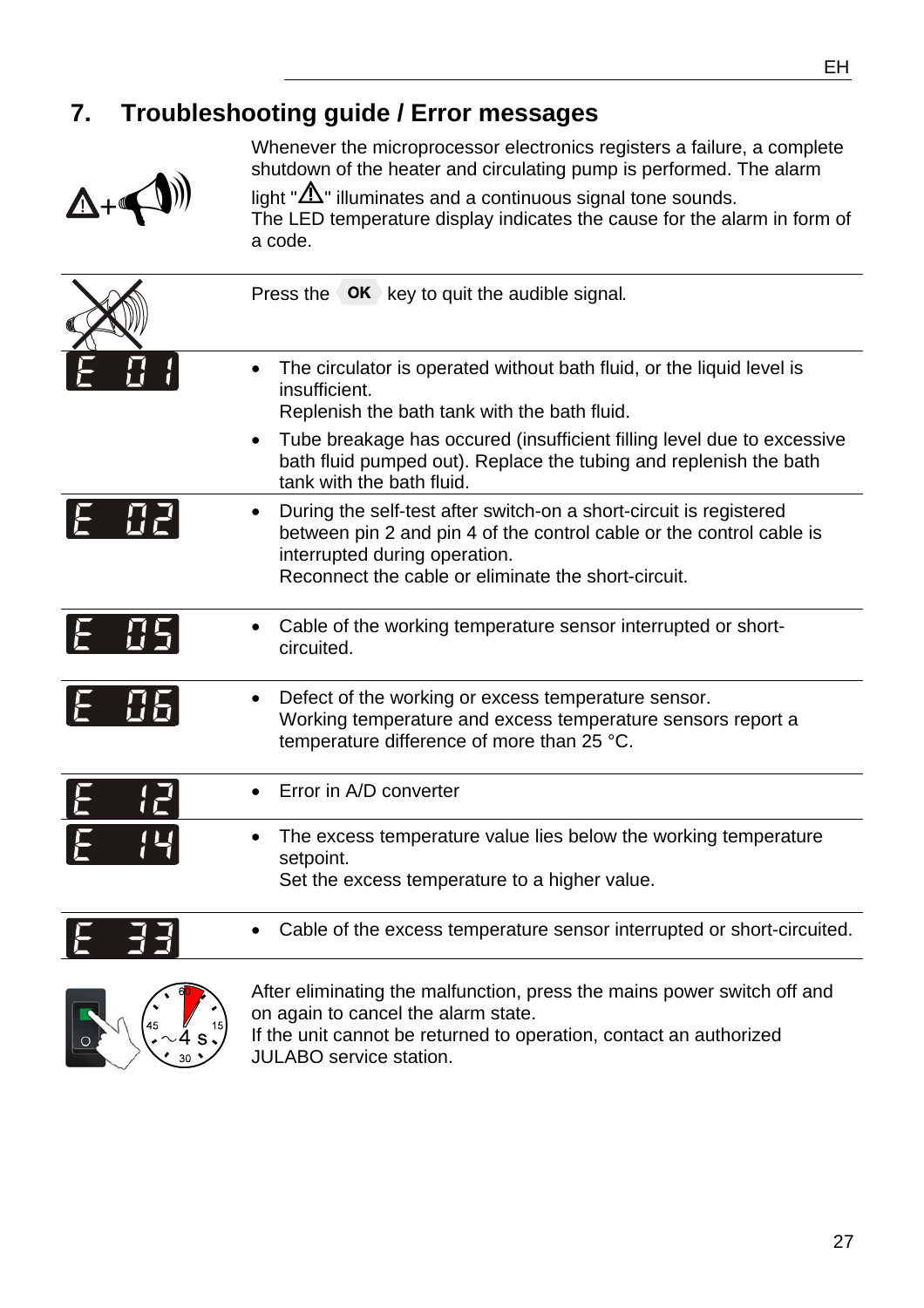## **7. Troubleshooting guide / Error messages**



Whenever the microprocessor electronics registers a failure, a complete shutdown of the heater and circulating pump is performed. The alarm

light " $\Delta$ " illuminates and a continuous signal tone sounds. The LED temperature display indicates the cause for the alarm in form of a code.

|              | Press the OK key to quit the audible signal.                                                                                                                                                                                                                                                                                    |
|--------------|---------------------------------------------------------------------------------------------------------------------------------------------------------------------------------------------------------------------------------------------------------------------------------------------------------------------------------|
|              | The circulator is operated without bath fluid, or the liquid level is<br>insufficient.<br>Replenish the bath tank with the bath fluid.<br>Tube breakage has occured (insufficient filling level due to excessive<br>$\bullet$<br>bath fluid pumped out). Replace the tubing and replenish the bath<br>tank with the bath fluid. |
| IŁ.          | During the self-test after switch-on a short-circuit is registered<br>between pin 2 and pin 4 of the control cable or the control cable is<br>interrupted during operation.<br>Reconnect the cable or eliminate the short-circuit.                                                                                              |
|              | Cable of the working temperature sensor interrupted or short-<br>circuited.                                                                                                                                                                                                                                                     |
|              | Defect of the working or excess temperature sensor.<br>Working temperature and excess temperature sensors report a<br>temperature difference of more than 25 °C.                                                                                                                                                                |
| 12<br>1<br>E | Error in A/D converter                                                                                                                                                                                                                                                                                                          |
|              | The excess temperature value lies below the working temperature<br>setpoint.<br>Set the excess temperature to a higher value.                                                                                                                                                                                                   |
|              | Cable of the excess temperature sensor interrupted or short-circuited.                                                                                                                                                                                                                                                          |
|              | After eliminating the malfunction, press the mains power switch off and<br>on again to cancel the alarm state.                                                                                                                                                                                                                  |

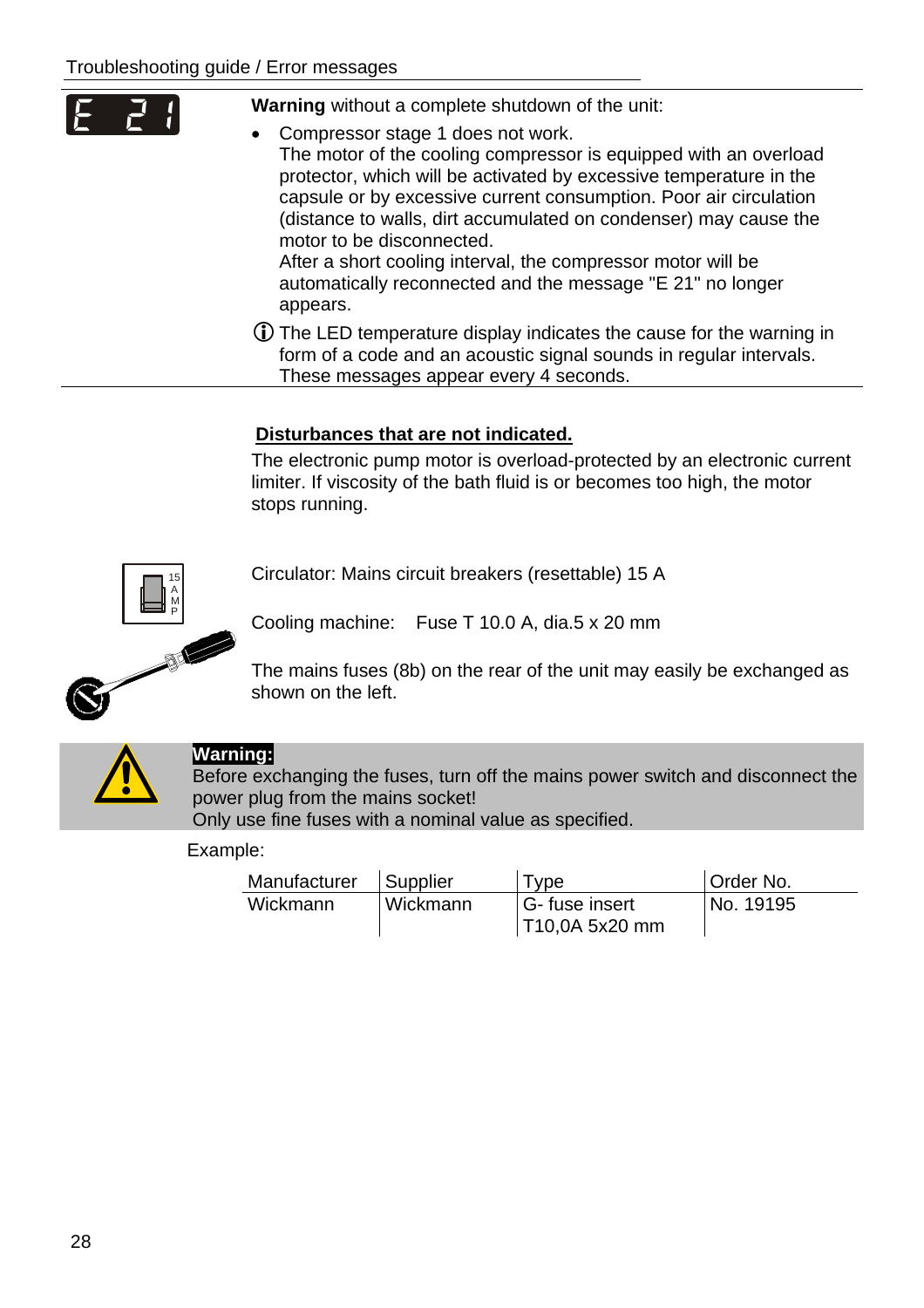| E | Warning without a complete shutdown of the unit:<br>• Compressor stage 1 does not work.<br>The motor of the cooling compressor is equipped with an overload<br>protector, which will be activated by excessive temperature in the<br>capsule or by excessive current consumption. Poor air circulation<br>(distance to walls, dirt accumulated on condenser) may cause the<br>motor to be disconnected.<br>After a short cooling interval, the compressor motor will be<br>automatically reconnected and the message "E 21" no longer |
|---|---------------------------------------------------------------------------------------------------------------------------------------------------------------------------------------------------------------------------------------------------------------------------------------------------------------------------------------------------------------------------------------------------------------------------------------------------------------------------------------------------------------------------------------|
|   | appears.                                                                                                                                                                                                                                                                                                                                                                                                                                                                                                                              |

LThe LED temperature display indicates the cause for the warning in form of a code and an acoustic signal sounds in regular intervals. These messages appear every 4 seconds.

#### **Disturbances that are not indicated.**

The electronic pump motor is overload-protected by an electronic current limiter. If viscosity of the bath fluid is or becomes too high, the motor stops running.

Circulator: Mains circuit breakers (resettable) 15 A

Cooling machine: Fuse T 10.0 A, dia.5 x 20 mm

The mains fuses (8b) on the rear of the unit may easily be exchanged as shown on the left.



15 A M P

#### **Warning:**

Before exchanging the fuses, turn off the mains power switch and disconnect the power plug from the mains socket! Only use fine fuses with a nominal value as specified.

Example:

| Manufacturer | Supplier | <b>Type</b>    | Order No. |
|--------------|----------|----------------|-----------|
| Wickmann     | Wickmann | G-fuse insert  | No. 19195 |
|              |          | T10,0A 5x20 mm |           |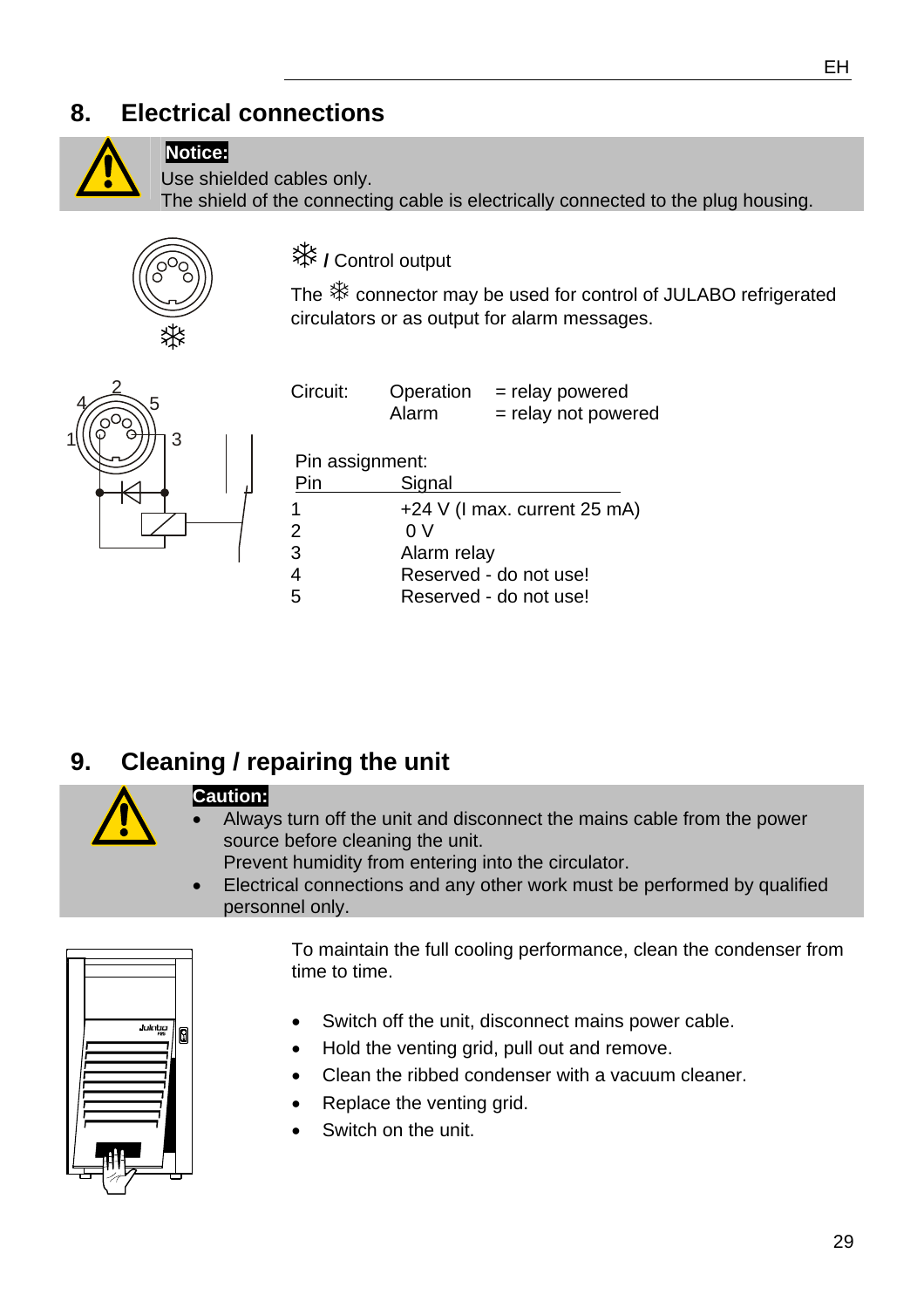## **8. Electrical connections**



## **Notice:**

Use shielded cables only.

The shield of the connecting cable is electrically connected to the plug housing.



 **/** Control output

The  $*$  connector may be used for control of JULABO refrigerated circulators or as output for alarm messages.



| Circuit:        | Operation<br>Alarm     | = relay powered<br>= relay not powered |  |  |
|-----------------|------------------------|----------------------------------------|--|--|
| Pin assignment: |                        |                                        |  |  |
| Pin             | Signal                 |                                        |  |  |
| 1               |                        | +24 V (I max. current 25 mA)           |  |  |
| $\overline{2}$  | 0V                     |                                        |  |  |
| 3               | Alarm relay            |                                        |  |  |
| 4               | Reserved - do not use! |                                        |  |  |
| 5               | Reserved - do not use! |                                        |  |  |

## **9. Cleaning / repairing the unit**



#### **Caution:**

• Always turn off the unit and disconnect the mains cable from the power source before cleaning the unit.

Prevent humidity from entering into the circulator.

• Electrical connections and any other work must be performed by qualified personnel only.



To maintain the full cooling performance, clean the condenser from time to time.

- Switch off the unit, disconnect mains power cable.
- Hold the venting grid, pull out and remove.
- Clean the ribbed condenser with a vacuum cleaner.
- Replace the venting grid.
- Switch on the unit.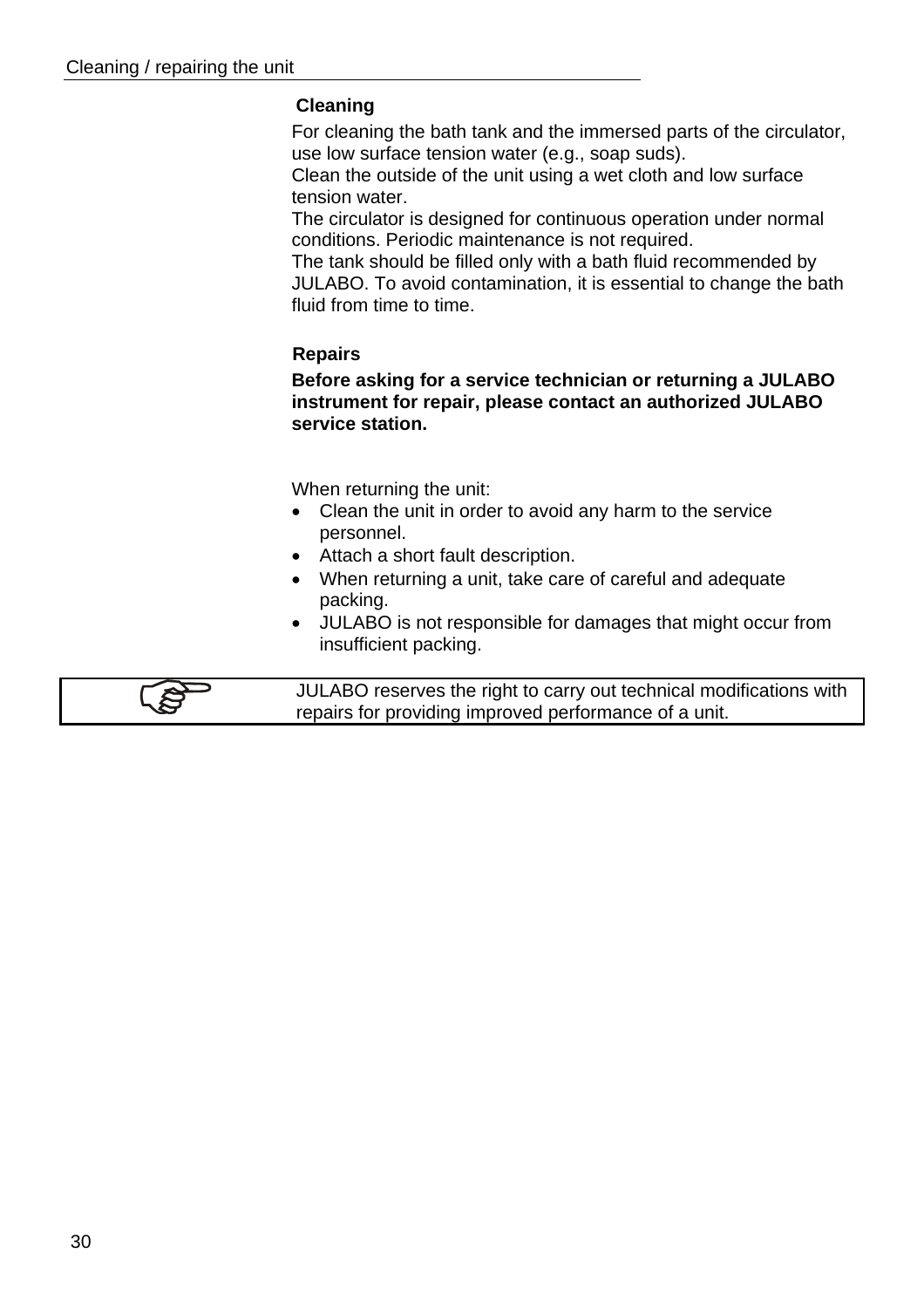#### **Cleaning**

For cleaning the bath tank and the immersed parts of the circulator, use low surface tension water (e.g., soap suds).

Clean the outside of the unit using a wet cloth and low surface tension water.

The circulator is designed for continuous operation under normal conditions. Periodic maintenance is not required.

The tank should be filled only with a bath fluid recommended by JULABO. To avoid contamination, it is essential to change the bath fluid from time to time.

#### **Repairs**

**Before asking for a service technician or returning a JULABO instrument for repair, please contact an authorized JULABO service station.** 

When returning the unit:

- Clean the unit in order to avoid any harm to the service personnel.
- Attach a short fault description.
- When returning a unit, take care of careful and adequate packing.
- JULABO is not responsible for damages that might occur from insufficient packing.

JULABO reserves the right to carry out technical modifications with repairs for providing improved performance of a unit.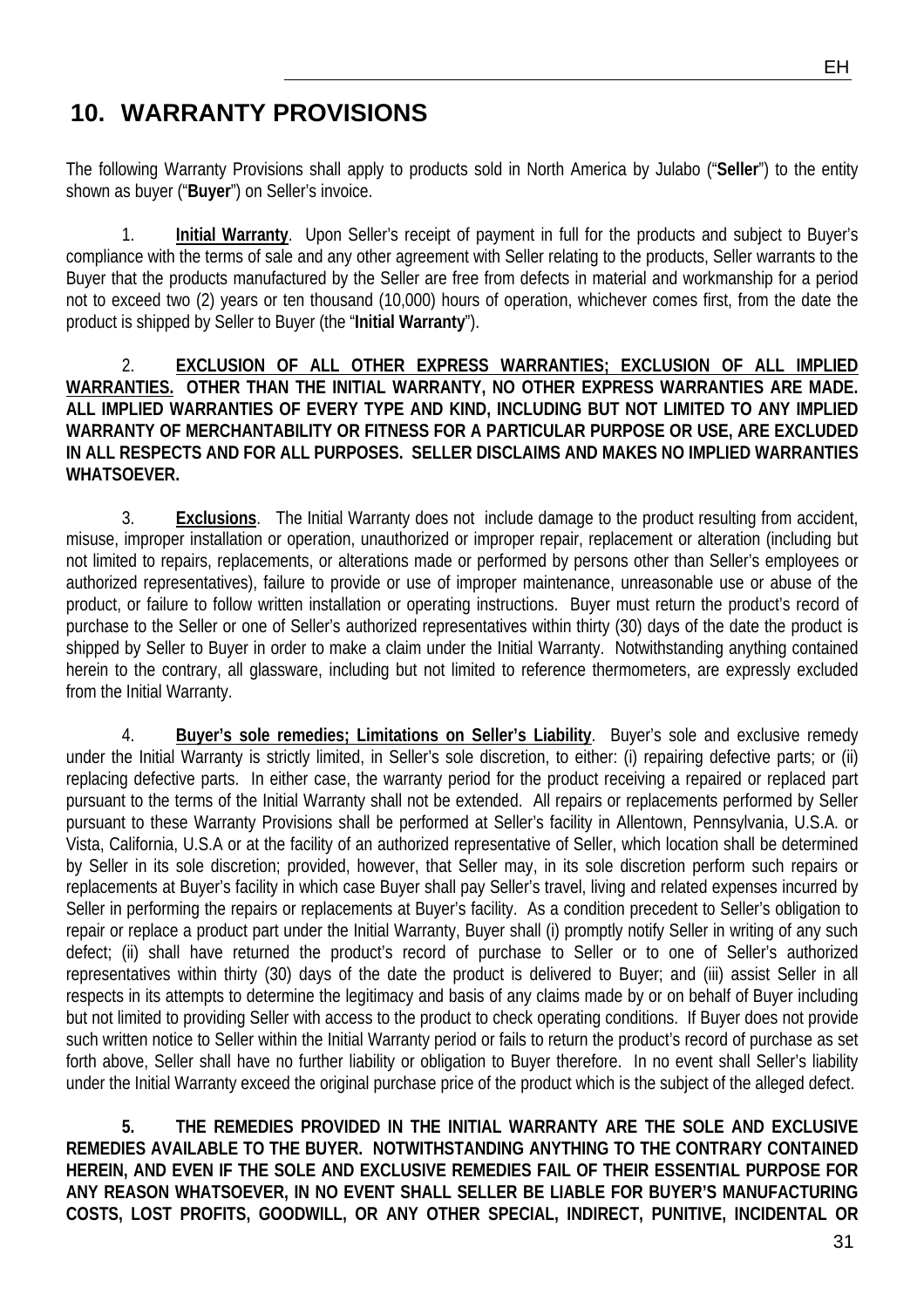## **10. WARRANTY PROVISIONS**

The following Warranty Provisions shall apply to products sold in North America by Julabo ("**Seller**") to the entity shown as buyer ("**Buyer**") on Seller's invoice.

1. **Initial Warranty**. Upon Seller's receipt of payment in full for the products and subject to Buyer's compliance with the terms of sale and any other agreement with Seller relating to the products, Seller warrants to the Buyer that the products manufactured by the Seller are free from defects in material and workmanship for a period not to exceed two (2) years or ten thousand (10,000) hours of operation, whichever comes first, from the date the product is shipped by Seller to Buyer (the "**Initial Warranty**").

2. **EXCLUSION OF ALL OTHER EXPRESS WARRANTIES; EXCLUSION OF ALL IMPLIED WARRANTIES. OTHER THAN THE INITIAL WARRANTY, NO OTHER EXPRESS WARRANTIES ARE MADE. ALL IMPLIED WARRANTIES OF EVERY TYPE AND KIND, INCLUDING BUT NOT LIMITED TO ANY IMPLIED WARRANTY OF MERCHANTABILITY OR FITNESS FOR A PARTICULAR PURPOSE OR USE, ARE EXCLUDED IN ALL RESPECTS AND FOR ALL PURPOSES. SELLER DISCLAIMS AND MAKES NO IMPLIED WARRANTIES WHATSOEVER.** 

3. **Exclusions**. The Initial Warranty does not include damage to the product resulting from accident, misuse, improper installation or operation, unauthorized or improper repair, replacement or alteration (including but not limited to repairs, replacements, or alterations made or performed by persons other than Seller's employees or authorized representatives), failure to provide or use of improper maintenance, unreasonable use or abuse of the product, or failure to follow written installation or operating instructions. Buyer must return the product's record of purchase to the Seller or one of Seller's authorized representatives within thirty (30) days of the date the product is shipped by Seller to Buyer in order to make a claim under the Initial Warranty. Notwithstanding anything contained herein to the contrary, all glassware, including but not limited to reference thermometers, are expressly excluded from the Initial Warranty.

4. **Buyer's sole remedies; Limitations on Seller's Liability**. Buyer's sole and exclusive remedy under the Initial Warranty is strictly limited, in Seller's sole discretion, to either: (i) repairing defective parts; or (ii) replacing defective parts. In either case, the warranty period for the product receiving a repaired or replaced part pursuant to the terms of the Initial Warranty shall not be extended. All repairs or replacements performed by Seller pursuant to these Warranty Provisions shall be performed at Seller's facility in Allentown, Pennsylvania, U.S.A. or Vista, California, U.S.A or at the facility of an authorized representative of Seller, which location shall be determined by Seller in its sole discretion; provided, however, that Seller may, in its sole discretion perform such repairs or replacements at Buyer's facility in which case Buyer shall pay Seller's travel, living and related expenses incurred by Seller in performing the repairs or replacements at Buyer's facility. As a condition precedent to Seller's obligation to repair or replace a product part under the Initial Warranty, Buyer shall (i) promptly notify Seller in writing of any such defect; (ii) shall have returned the product's record of purchase to Seller or to one of Seller's authorized representatives within thirty (30) days of the date the product is delivered to Buyer; and (iii) assist Seller in all respects in its attempts to determine the legitimacy and basis of any claims made by or on behalf of Buyer including but not limited to providing Seller with access to the product to check operating conditions. If Buyer does not provide such written notice to Seller within the Initial Warranty period or fails to return the product's record of purchase as set forth above, Seller shall have no further liability or obligation to Buyer therefore. In no event shall Seller's liability under the Initial Warranty exceed the original purchase price of the product which is the subject of the alleged defect.

**5. THE REMEDIES PROVIDED IN THE INITIAL WARRANTY ARE THE SOLE AND EXCLUSIVE REMEDIES AVAILABLE TO THE BUYER. NOTWITHSTANDING ANYTHING TO THE CONTRARY CONTAINED HEREIN, AND EVEN IF THE SOLE AND EXCLUSIVE REMEDIES FAIL OF THEIR ESSENTIAL PURPOSE FOR ANY REASON WHATSOEVER, IN NO EVENT SHALL SELLER BE LIABLE FOR BUYER'S MANUFACTURING COSTS, LOST PROFITS, GOODWILL, OR ANY OTHER SPECIAL, INDIRECT, PUNITIVE, INCIDENTAL OR**